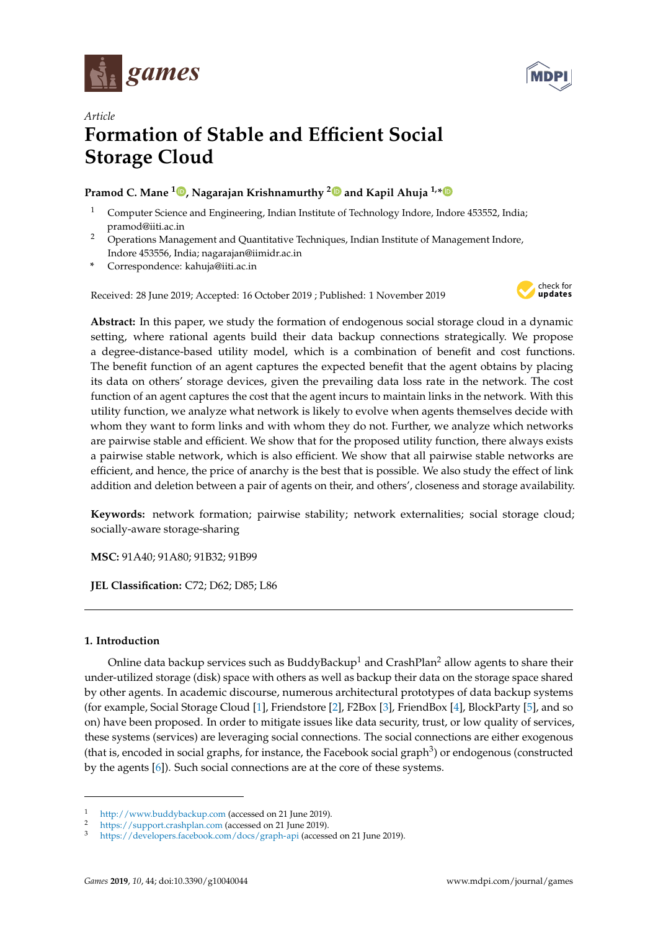



# *Article* **Formation of Stable and Efficient Social Storage Cloud**

# **Pramod C. Mane <sup>1</sup> , Nagarajan Krishnamurthy <sup>2</sup> and Kapil Ahuja 1,\***

- <sup>1</sup> Computer Science and Engineering, Indian Institute of Technology Indore, Indore 453552, India; pramod@iiti.ac.in
- <sup>2</sup> Operations Management and Quantitative Techniques, Indian Institute of Management Indore, Indore 453556, India; nagarajan@iimidr.ac.in
- **\*** Correspondence: kahuja@iiti.ac.in

Received: 28 June 2019; Accepted: 16 October 2019 ; Published: 1 November 2019



**Abstract:** In this paper, we study the formation of endogenous social storage cloud in a dynamic setting, where rational agents build their data backup connections strategically. We propose a degree-distance-based utility model, which is a combination of benefit and cost functions. The benefit function of an agent captures the expected benefit that the agent obtains by placing its data on others' storage devices, given the prevailing data loss rate in the network. The cost function of an agent captures the cost that the agent incurs to maintain links in the network. With this utility function, we analyze what network is likely to evolve when agents themselves decide with whom they want to form links and with whom they do not. Further, we analyze which networks are pairwise stable and efficient. We show that for the proposed utility function, there always exists a pairwise stable network, which is also efficient. We show that all pairwise stable networks are efficient, and hence, the price of anarchy is the best that is possible. We also study the effect of link addition and deletion between a pair of agents on their, and others', closeness and storage availability.

**Keywords:** network formation; pairwise stability; network externalities; social storage cloud; socially-aware storage-sharing

**MSC:** 91A40; 91A80; 91B32; 91B99

**JEL Classification:** C72; D62; D85; L86

# **1. Introduction**

Online data backup services such as BuddyBackup<sup>1</sup> and CrashPlan<sup>2</sup> allow agents to share their under-utilized storage (disk) space with others as well as backup their data on the storage space shared by other agents. In academic discourse, numerous architectural prototypes of data backup systems (for example, Social Storage Cloud [1], Friendstore [2], F2Box [3], FriendBox [4], BlockParty [5], and so on) have been proposed. In order to mitigate issues like data security, trust, or low quality of services, these systems (services) are leveraging social connections. The social connections are either exogenous (that is, encoded in social graphs, for instance, the Facebook social graph $^3$ ) or endogenous (constructed by the agents [6]). Such social connections are at the core of these systems.

<sup>&</sup>lt;sup>1</sup> http://www.buddybackup.com (accessed on 21 June 2019).

<sup>&</sup>lt;sup>2</sup> https://support.crashplan.com (accessed on 21 June 2019).

<sup>3</sup> https://developers.facebook.com/docs/graph-api (accessed on 21 June 2019).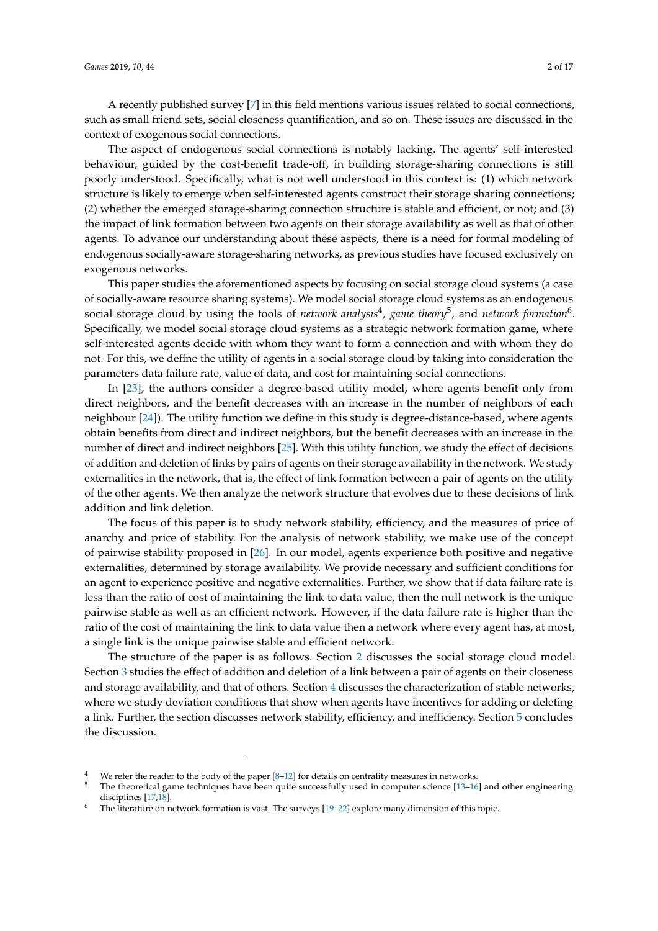A recently published survey [7] in this field mentions various issues related to social connections, such as small friend sets, social closeness quantification, and so on. These issues are discussed in the context of exogenous social connections.

The aspect of endogenous social connections is notably lacking. The agents' self-interested behaviour, guided by the cost-benefit trade-off, in building storage-sharing connections is still poorly understood. Specifically, what is not well understood in this context is: (1) which network structure is likely to emerge when self-interested agents construct their storage sharing connections; (2) whether the emerged storage-sharing connection structure is stable and efficient, or not; and (3) the impact of link formation between two agents on their storage availability as well as that of other agents. To advance our understanding about these aspects, there is a need for formal modeling of endogenous socially-aware storage-sharing networks, as previous studies have focused exclusively on exogenous networks.

This paper studies the aforementioned aspects by focusing on social storage cloud systems (a case of socially-aware resource sharing systems). We model social storage cloud systems as an endogenous social storage cloud by using the tools of *network analysis*<sup>4</sup> , *game theory*<sup>5</sup> , and *network formation*<sup>6</sup> . Specifically, we model social storage cloud systems as a strategic network formation game, where self-interested agents decide with whom they want to form a connection and with whom they do not. For this, we define the utility of agents in a social storage cloud by taking into consideration the parameters data failure rate, value of data, and cost for maintaining social connections.

In [23], the authors consider a degree-based utility model, where agents benefit only from direct neighbors, and the benefit decreases with an increase in the number of neighbors of each neighbour [24]). The utility function we define in this study is degree-distance-based, where agents obtain benefits from direct and indirect neighbors, but the benefit decreases with an increase in the number of direct and indirect neighbors [25]. With this utility function, we study the effect of decisions of addition and deletion of links by pairs of agents on their storage availability in the network. We study externalities in the network, that is, the effect of link formation between a pair of agents on the utility of the other agents. We then analyze the network structure that evolves due to these decisions of link addition and link deletion.

The focus of this paper is to study network stability, efficiency, and the measures of price of anarchy and price of stability. For the analysis of network stability, we make use of the concept of pairwise stability proposed in [26]. In our model, agents experience both positive and negative externalities, determined by storage availability. We provide necessary and sufficient conditions for an agent to experience positive and negative externalities. Further, we show that if data failure rate is less than the ratio of cost of maintaining the link to data value, then the null network is the unique pairwise stable as well as an efficient network. However, if the data failure rate is higher than the ratio of the cost of maintaining the link to data value then a network where every agent has, at most, a single link is the unique pairwise stable and efficient network.

The structure of the paper is as follows. Section 2 discusses the social storage cloud model. Section 3 studies the effect of addition and deletion of a link between a pair of agents on their closeness and storage availability, and that of others. Section 4 discusses the characterization of stable networks, where we study deviation conditions that show when agents have incentives for adding or deleting a link. Further, the section discusses network stability, efficiency, and inefficiency. Section 5 concludes the discussion.

<sup>&</sup>lt;sup>4</sup> We refer the reader to the body of the paper  $[8-12]$  for details on centrality measures in networks.<br> $\frac{5}{2}$  The theoretical cause to brigance have have next associated in a superior stimula 12, 14

<sup>5</sup> The theoretical game techniques have been quite successfully used in computer science [13–16] and other engineering disciplines [17,18].

The literature on network formation is vast. The surveys [19–22] explore many dimension of this topic.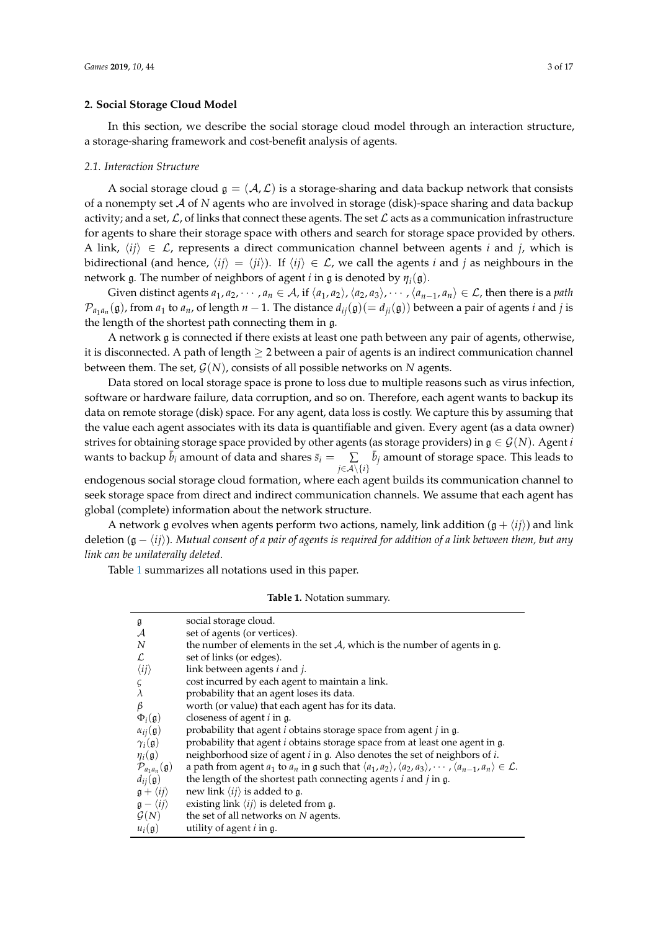#### **2. Social Storage Cloud Model**

In this section, we describe the social storage cloud model through an interaction structure, a storage-sharing framework and cost-benefit analysis of agents.

#### *2.1. Interaction Structure*

A social storage cloud  $\mathfrak{g} = (\mathcal{A}, \mathcal{L})$  is a storage-sharing and data backup network that consists of a nonempty set A of *N* agents who are involved in storage (disk)-space sharing and data backup activity; and a set,  $\mathcal{L}$ , of links that connect these agents. The set  $\mathcal{L}$  acts as a communication infrastructure for agents to share their storage space with others and search for storage space provided by others. A link,  $\langle i\hat{i}\rangle \in \mathcal{L}$ , represents a direct communication channel between agents *i* and *j*, which is bidirectional (and hence,  $\langle i\hat{i}\rangle = \langle i\hat{i}\rangle$ ). If  $\langle i\hat{i}\rangle \in \mathcal{L}$ , we call the agents *i* and *j* as neighbours in the network g. The number of neighbors of agent *i* in g is denoted by *ηi*(g).

Given distinct agents  $a_1, a_2, \dots, a_n \in A$ , if  $\langle a_1, a_2 \rangle$ ,  $\langle a_2, a_3 \rangle$ ,  $\dots$ ,  $\langle a_{n-1}, a_n \rangle \in \mathcal{L}$ , then there is a *path*  $\mathcal{P}_{a_1a_n}(\mathfrak{g})$ , from  $a_1$  to  $a_n$ , of length  $n-1$ . The distance  $d_{ij}(\mathfrak{g})(=d_{ji}(\mathfrak{g}))$  between a pair of agents *i* and *j* is the length of the shortest path connecting them in g.

A network g is connected if there exists at least one path between any pair of agents, otherwise, it is disconnected. A path of length  $\geq 2$  between a pair of agents is an indirect communication channel between them. The set, G(*N*), consists of all possible networks on *N* agents.

Data stored on local storage space is prone to loss due to multiple reasons such as virus infection, software or hardware failure, data corruption, and so on. Therefore, each agent wants to backup its data on remote storage (disk) space. For any agent, data loss is costly. We capture this by assuming that the value each agent associates with its data is quantifiable and given. Every agent (as a data owner) strives for obtaining storage space provided by other agents (as storage providers) in  $\mathfrak{g} \in \mathcal{G}(N)$ . Agent *i* wants to backup  $\bar{b}_i$  amount of data and shares  $\bar{s}_i = \bar{c}_i$ *j*∈A\{*i*}  $\sum$   $\bar{b}_j$  amount of storage space. This leads to

endogenous social storage cloud formation, where each agent builds its communication channel to seek storage space from direct and indirect communication channels. We assume that each agent has global (complete) information about the network structure.

A network g evolves when agents perform two actions, namely, link addition  $(g + \langle i \rangle)$  and link deletion (g − h*ij*i). *Mutual consent of a pair of agents is required for addition of a link between them, but any link can be unilaterally deleted*.

Table 1 summarizes all notations used in this paper.

**Table 1.** Notation summary.

| g                                    | social storage cloud.                                                                                                                                                 |
|--------------------------------------|-----------------------------------------------------------------------------------------------------------------------------------------------------------------------|
| $\mathcal{A}$                        | set of agents (or vertices).                                                                                                                                          |
| N                                    | the number of elements in the set $A$ , which is the number of agents in g.                                                                                           |
| L                                    | set of links (or edges).                                                                                                                                              |
| $\langle ij \rangle$                 | link between agents $i$ and $j$ .                                                                                                                                     |
| ς                                    | cost incurred by each agent to maintain a link.                                                                                                                       |
| $\lambda$                            | probability that an agent loses its data.                                                                                                                             |
| β                                    | worth (or value) that each agent has for its data.                                                                                                                    |
| $\Phi_i(\mathfrak{g})$               | closeness of agent <i>i</i> in g.                                                                                                                                     |
| $\alpha_{ij}(\mathfrak{g})$          | probability that agent $i$ obtains storage space from agent $j$ in $g$ .                                                                                              |
| $\gamma_i(\mathfrak{g})$             | probability that agent <i>i</i> obtains storage space from at least one agent in g.                                                                                   |
| $\eta_i(\mathfrak{g})$               | neighborhood size of agent i in g. Also denotes the set of neighbors of i.                                                                                            |
| $\mathcal{P}_{a_1a_n}(\mathfrak{g})$ | a path from agent $a_1$ to $a_n$ in g such that $\langle a_1, a_2 \rangle$ , $\langle a_2, a_3 \rangle$ , $\cdots$ , $\langle a_{n-1}, a_n \rangle \in \mathcal{L}$ . |
| $d_{ij}(\mathfrak{g})$               | the length of the shortest path connecting agents $i$ and $j$ in $g$ .                                                                                                |
| $\mathfrak{g} + \langle ij \rangle$  | new link $\langle ij \rangle$ is added to g.                                                                                                                          |
| $\mathfrak{g} - \langle ij \rangle$  | existing link $\langle ij \rangle$ is deleted from g.                                                                                                                 |
| $\mathcal{G}(N)$                     | the set of all networks on N agents.                                                                                                                                  |
| $u_i(\mathfrak{g})$                  | utility of agent $i$ in $g$ .                                                                                                                                         |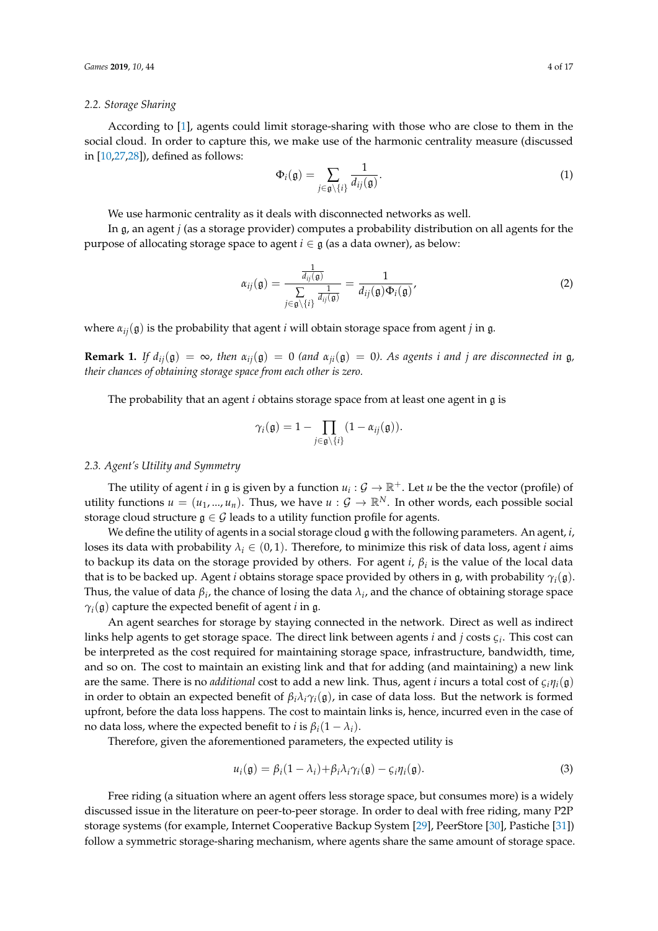#### *2.2. Storage Sharing*

According to [1], agents could limit storage-sharing with those who are close to them in the social cloud. In order to capture this, we make use of the harmonic centrality measure (discussed in [10,27,28]), defined as follows:

$$
\Phi_i(\mathfrak{g}) = \sum_{j \in \mathfrak{g} \setminus \{i\}} \frac{1}{d_{ij}(\mathfrak{g})}.
$$
 (1)

We use harmonic centrality as it deals with disconnected networks as well.

In g, an agent *j* (as a storage provider) computes a probability distribution on all agents for the purpose of allocating storage space to agent  $i \in \mathfrak{g}$  (as a data owner), as below:

$$
\alpha_{ij}(\mathfrak{g}) = \frac{\frac{1}{d_{ij}(\mathfrak{g})}}{\sum\limits_{j \in \mathfrak{g} \setminus \{i\}} \frac{1}{d_{ij}(\mathfrak{g})}} = \frac{1}{d_{ij}(\mathfrak{g}) \Phi_i(\mathfrak{g})},
$$
\n(2)

where  $\alpha_{ij}(\mathfrak{g})$  is the probability that agent *i* will obtain storage space from agent *j* in g.

**Remark 1.** *If*  $d_{ij}(\mathfrak{g}) = \infty$ , then  $\alpha_{ij}(\mathfrak{g}) = 0$  (and  $\alpha_{ij}(\mathfrak{g}) = 0$ ). As agents *i* and *j* are disconnected in  $\mathfrak{g}$ , *their chances of obtaining storage space from each other is zero.*

The probability that an agent *i* obtains storage space from at least one agent in g is

$$
\gamma_i(\mathfrak{g})=1-\prod_{j\in\mathfrak{g}\setminus\{i\}}(1-\alpha_{ij}(\mathfrak{g})).
$$

# *2.3. Agent's Utility and Symmetry*

The utility of agent *i* in  $\mathfrak g$  is given by a function  $u_i : \mathcal G \to \mathbb R^+$ . Let  $u$  be the the vector (profile) of utility functions  $u = (u_1, ..., u_n)$ . Thus, we have  $u : \mathcal{G} \to \mathbb{R}^N$ . In other words, each possible social storage cloud structure  $g \in \mathcal{G}$  leads to a utility function profile for agents.

We define the utility of agents in a social storage cloud g with the following parameters. An agent, *i*, loses its data with probability  $\lambda_i \in (0,1)$ . Therefore, to minimize this risk of data loss, agent *i* aims to backup its data on the storage provided by others. For agent *i*, *β<sup>i</sup>* is the value of the local data that is to be backed up. Agent *i* obtains storage space provided by others in g, with probability  $\gamma_i(\mathfrak{g})$ . Thus, the value of data  $\beta_i$ , the chance of losing the data  $\lambda_i$ , and the chance of obtaining storage space *γi*(g) capture the expected benefit of agent *i* in g.

An agent searches for storage by staying connected in the network. Direct as well as indirect links help agents to get storage space. The direct link between agents *i* and *j* costs *ς<sup>i</sup>* . This cost can be interpreted as the cost required for maintaining storage space, infrastructure, bandwidth, time, and so on. The cost to maintain an existing link and that for adding (and maintaining) a new link are the same. There is no *additional* cost to add a new link. Thus, agent *i* incurs a total cost of *ςiηi*(g) in order to obtain an expected benefit of  $\beta_i \lambda_i \gamma_i(\mathfrak{g})$ , in case of data loss. But the network is formed upfront, before the data loss happens. The cost to maintain links is, hence, incurred even in the case of no data loss, where the expected benefit to *i* is  $\beta_i(1 - \lambda_i)$ .

Therefore, given the aforementioned parameters, the expected utility is

$$
u_i(\mathfrak{g}) = \beta_i (1 - \lambda_i) + \beta_i \lambda_i \gamma_i(\mathfrak{g}) - \zeta_i \eta_i(\mathfrak{g}). \tag{3}
$$

Free riding (a situation where an agent offers less storage space, but consumes more) is a widely discussed issue in the literature on peer-to-peer storage. In order to deal with free riding, many P2P storage systems (for example, Internet Cooperative Backup System [29], PeerStore [30], Pastiche [31]) follow a symmetric storage-sharing mechanism, where agents share the same amount of storage space.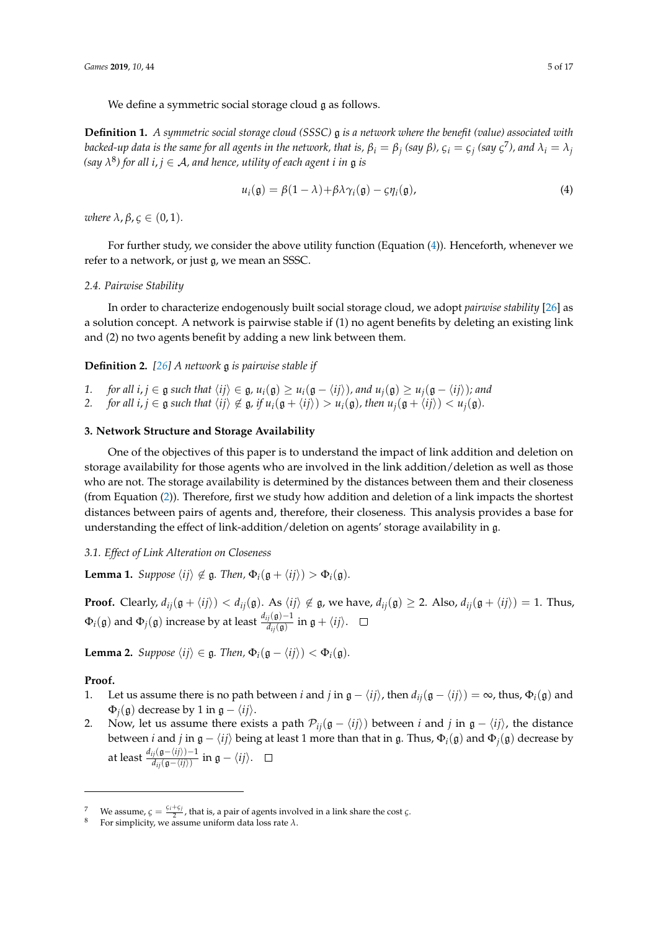We define a symmetric social storage cloud g as follows.

**Definition 1.** *A symmetric social storage cloud (SSSC)* g *is a network where the benefit (value) associated with* backed-up data is the same for all agents in the network, that is,  $\beta_i=\beta_j$  (say  $\beta$ ),  $\varsigma_i=\varsigma_j$  (say  $\varsigma^7$ ), and  $\lambda_i=\lambda_j$ *(say λ* 8 *) for all i*, *j* ∈ A*, and hence, utility of each agent i in* g *is*

$$
u_i(\mathfrak{g}) = \beta(1 - \lambda) + \beta \lambda \gamma_i(\mathfrak{g}) - \varsigma \eta_i(\mathfrak{g}), \qquad (4)
$$

*where*  $\lambda$ ,  $\beta$ ,  $\zeta \in (0,1)$ *.* 

For further study, we consider the above utility function (Equation (4)). Henceforth, whenever we refer to a network, or just g, we mean an SSSC.

#### *2.4. Pairwise Stability*

In order to characterize endogenously built social storage cloud, we adopt *pairwise stability* [26] as a solution concept. A network is pairwise stable if (1) no agent benefits by deleting an existing link and (2) no two agents benefit by adding a new link between them.

**Definition 2.** *[26] A network* g *is pairwise stable if*

- *1. for all i, j* ∈  $\mathfrak{g}$  *such that*  $\langle ij \rangle \in \mathfrak{g}$ ,  $u_i(\mathfrak{g}) \geq u_i(\mathfrak{g} \langle ij \rangle)$ *, and*  $u_j(\mathfrak{g}) \geq u_j(\mathfrak{g} \langle ij \rangle)$ *; and*
- *2. for all i, j*  $\in$  g *such that*  $\langle ij \rangle \notin$  g*, if*  $u_i(g + \langle ij \rangle) > u_i(g)$ *, then*  $u_i(g + \langle ij \rangle) < u_i(g)$ *.*

#### **3. Network Structure and Storage Availability**

One of the objectives of this paper is to understand the impact of link addition and deletion on storage availability for those agents who are involved in the link addition/deletion as well as those who are not. The storage availability is determined by the distances between them and their closeness (from Equation (2)). Therefore, first we study how addition and deletion of a link impacts the shortest distances between pairs of agents and, therefore, their closeness. This analysis provides a base for understanding the effect of link-addition/deletion on agents' storage availability in g.

# *3.1. Effect of Link Alteration on Closeness*

**Lemma 1.** *Suppose*  $\langle ij \rangle \notin \mathfrak{g}$ *. Then,*  $\Phi_i(\mathfrak{g} + \langle ij \rangle) > \Phi_i(\mathfrak{g})$ *.* 

**Proof.** Clearly,  $d_{ij}(\mathfrak{g} + \langle i j \rangle) < d_{ij}(\mathfrak{g})$ . As  $\langle i j \rangle \notin \mathfrak{g}$ , we have,  $d_{ij}(\mathfrak{g}) \geq 2$ . Also,  $d_{ij}(\mathfrak{g} + \langle i j \rangle) = 1$ . Thus,  $\Phi_i(\mathfrak{g})$  and  $\Phi_j(\mathfrak{g})$  increase by at least  $\frac{d_{ij}(\mathfrak{g})-1}{d_{ij}(\mathfrak{g})}$  in  $\mathfrak{g}+\langle ij\rangle.$ 

**Lemma 2.** *Suppose*  $\langle ij \rangle \in \mathfrak{g}$ *. Then,*  $\Phi_i(\mathfrak{g} - \langle ij \rangle) < \Phi_i(\mathfrak{g})$ *.* 

#### **Proof.**

- 1. Let us assume there is no path between *i* and *j* in  $\mathfrak{g} \langle i j \rangle$ , then  $d_{ij}(\mathfrak{g} \langle i j \rangle) = \infty$ , thus,  $\Phi_i(\mathfrak{g})$  and  $Φ$ <sub>*i*</sub>( $α$ ) decrease by 1 in  $α - \langle i*i* \rangle$ .
- 2. Now, let us assume there exists a path  $\mathcal{P}_{ij}(\mathfrak{g} \langle ij \rangle)$  between *i* and *j* in  $\mathfrak{g} \langle ij \rangle$ , the distance between *i* and *j* in  $\mathfrak{g} - \langle ij \rangle$  being at least 1 more than that in g. Thus,  $\Phi_i(\mathfrak{g})$  and  $\Phi_j(\mathfrak{g})$  decrease by at least  $\frac{d_{ij}(\mathfrak{g}-\langle ij\rangle)-1}{d_{ij}(\mathfrak{g}-\langle ij\rangle)}$  in  $\mathfrak{g}-\langle ij\rangle.$

We assume,  $\varsigma = \frac{\varsigma_i + \varsigma_j}{2}$ , that is, a pair of agents involved in a link share the cost  $\varsigma$ .

<sup>8</sup> For simplicity, we assume uniform data loss rate *λ*.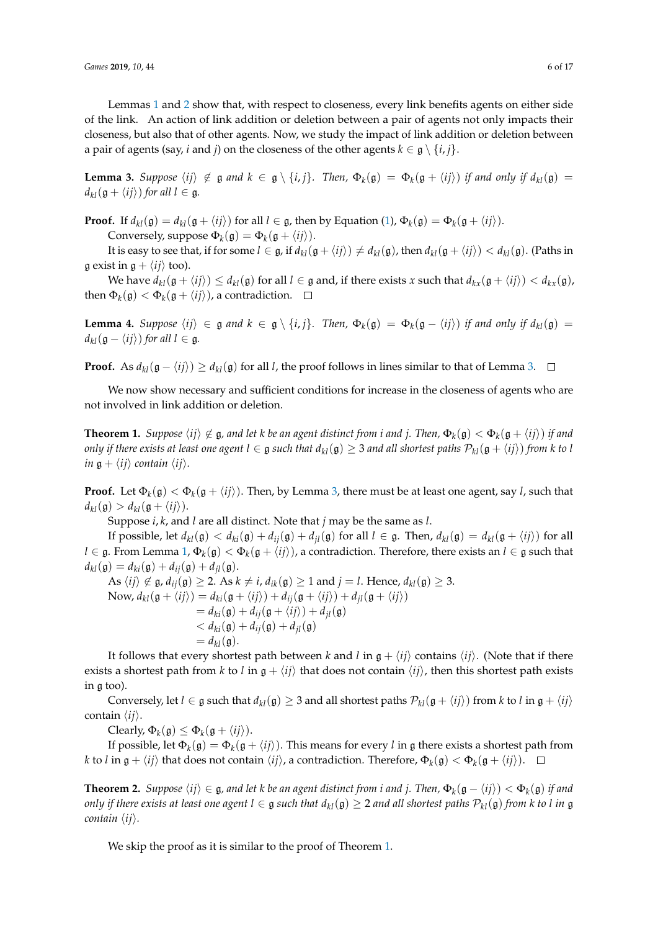Lemmas 1 and 2 show that, with respect to closeness, every link benefits agents on either side of the link. An action of link addition or deletion between a pair of agents not only impacts their closeness, but also that of other agents. Now, we study the impact of link addition or deletion between a pair of agents (say, *i* and *j*) on the closeness of the other agents  $k \in \mathfrak{g} \setminus \{i, j\}.$ 

**Lemma 3.** Suppose  $\langle ij \rangle \notin \mathfrak{g}$  and  $k \in \mathfrak{g} \setminus \{i,j\}$ . Then,  $\Phi_k(\mathfrak{g}) = \Phi_k(\mathfrak{g} + \langle ij \rangle)$  *if and only if*  $d_{kl}(\mathfrak{g}) =$  $d_{kl}(\mathfrak{g} + \langle ij \rangle)$  *for all l*  $\in \mathfrak{g}$ *.* 

**Proof.** If  $d_{kl}(\mathfrak{g}) = d_{kl}(\mathfrak{g} + \langle ij \rangle)$  for all  $l \in \mathfrak{g}$ , then by Equation (1),  $\Phi_k(\mathfrak{g}) = \Phi_k(\mathfrak{g} + \langle ij \rangle)$ . Conversely, suppose  $\Phi_k(\mathfrak{g}) = \Phi_k(\mathfrak{g} + \langle ij \rangle).$ 

It is easy to see that, if for some  $l \in \mathfrak{g}$ , if  $d_{kl}(\mathfrak{g} + \langle ij \rangle) \neq d_{kl}(\mathfrak{g})$ , then  $d_{kl}(\mathfrak{g} + \langle ij \rangle) < d_{kl}(\mathfrak{g})$ . (Paths in g exist in  $g + \langle ij \rangle$  too).

We have  $d_{kl}(\mathfrak{g} + \langle ij \rangle) \leq d_{kl}(\mathfrak{g})$  for all  $l \in \mathfrak{g}$  and, if there exists *x* such that  $d_{kx}(\mathfrak{g} + \langle ij \rangle) < d_{kx}(\mathfrak{g})$ , then  $\Phi_k(\mathfrak{g}) < \Phi_k(\mathfrak{g} + \langle ij \rangle)$ , a contradiction.

**Lemma 4.** Suppose  $\langle ij \rangle \in \mathfrak{g}$  and  $k \in \mathfrak{g} \setminus \{i, j\}$ . Then,  $\Phi_k(\mathfrak{g}) = \Phi_k(\mathfrak{g} - \langle ij \rangle)$  *if and only if*  $d_{kl}(\mathfrak{g}) =$  $d_{kl}(\mathfrak{g} - \langle ij \rangle)$  *for all*  $l \in \mathfrak{g}$ *.* 

**Proof.** As  $d_{kl}(\mathfrak{g} - \langle i j \rangle) \ge d_{kl}(\mathfrak{g})$  for all *l*, the proof follows in lines similar to that of Lemma 3. □

We now show necessary and sufficient conditions for increase in the closeness of agents who are not involved in link addition or deletion.

 $\bf{Theorem~1.~}$  *Suppose*  $\braket{ij}\notin \frak{g}$ , and let  $k$  be an agent distinct from  $i$  and  $j$ . Then,  $\Phi_k(\frak{g})<\Phi_k(\frak{g}+\braket{ij})$  if and *only if there exists at least one agent*  $l \in \mathfrak{g}$  *such that*  $d_{kl}(\mathfrak{g}) \geq 3$  *and all shortest paths*  $\mathcal{P}_{kl}(\mathfrak{g} + \langle ij \rangle)$  *from k* to *l in*  $g + \langle ij \rangle$  *contain*  $\langle ij \rangle$ *.* 

**Proof.** Let  $\Phi_k(\mathfrak{g}) < \Phi_k(\mathfrak{g} + \langle ij \rangle)$ . Then, by Lemma 3, there must be at least one agent, say *l*, such that  $d_{kl}(\mathfrak{g}) > d_{kl}(\mathfrak{g} + \langle ij \rangle).$ 

Suppose *i*, *k*, and *l* are all distinct. Note that *j* may be the same as *l*.

If possible, let  $d_{kl}(\mathfrak{g}) < d_{ki}(\mathfrak{g}) + d_{ij}(\mathfrak{g}) + d_{jl}(\mathfrak{g})$  for all  $l \in \mathfrak{g}$ . Then,  $d_{kl}(\mathfrak{g}) = d_{kl}(\mathfrak{g} + \langle ij \rangle)$  for all  $l\in\frak g.$  From Lemma 1,  $\Phi_k(\frak g)<\Phi_k(\frak g+\langle ij\rangle)$ , a contradiction. Therefore, there exists an  $l\in\frak g$  such that  $d_{kl}(\mathfrak{g}) = d_{ki}(\mathfrak{g}) + d_{ii}(\mathfrak{g}) + d_{il}(\mathfrak{g}).$ 

As  $\langle ij \rangle \notin \mathfrak{g}$ ,  $d_{ij}(\mathfrak{g}) \geq 2$ . As  $k \neq i$ ,  $d_{ik}(\mathfrak{g}) \geq 1$  and  $j = l$ . Hence,  $d_{kl}(\mathfrak{g}) \geq 3$ . Now,  $d_{kl}(\mathfrak{g} + \langle ij \rangle) = d_{ki}(\mathfrak{g} + \langle ij \rangle) + d_{ij}(\mathfrak{g} + \langle ij \rangle) + d_{il}(\mathfrak{g} + \langle ij \rangle)$  $= d_{ki}(g) + d_{ij}(g + \langle ij \rangle) + d_{jl}(g)$  $d_{ki}(\mathfrak{g}) + d_{ij}(\mathfrak{g}) + d_{il}(\mathfrak{g})$  $= d_{kl}(\mathfrak{g}).$ 

It follows that every shortest path between *k* and *l* in  $g + \langle ij \rangle$  contains  $\langle ij \rangle$ . (Note that if there exists a shortest path from *k* to *l* in  $g + \langle ij \rangle$  that does not contain  $\langle ij \rangle$ , then this shortest path exists in g too).

Conversely, let *l* ∈ g such that  $d_{kl}(\mathfrak{g}) \geq 3$  and all shortest paths  $\mathcal{P}_{kl}(\mathfrak{g} + \langle ij \rangle)$  from *k* to *l* in  $\mathfrak{g} + \langle ij \rangle$ contain  $\langle ij \rangle$ .

Clearly,  $\Phi_k(\mathfrak{g}) \leq \Phi_k(\mathfrak{g} + \langle ij \rangle).$ 

If possible, let  $\Phi_k(\mathfrak{g}) = \Phi_k(\mathfrak{g} + \langle ij \rangle)$ . This means for every *l* in  $\mathfrak g$  there exists a shortest path from *k* to *l* in  $g + \langle ij \rangle$  that does not contain  $\langle ij \rangle$ , a contradiction. Therefore,  $\Phi_k(g) < \Phi_k(g + \langle ij \rangle)$ .

**Theorem 2.** Suppose  $\langle ij\rangle \in \mathfrak{g}$ , and let  $k$  be an agent distinct from  $i$  and  $j$ . Then,  $\Phi_k(\mathfrak{g}-\langle ij\rangle)<\Phi_k(\mathfrak{g})$  if and *only if there exists at least one agent*  $l \in \mathfrak{g}$  *such that*  $d_{kl}(\mathfrak{g}) \geq 2$  *and all shortest paths*  $\mathcal{P}_{kl}(\mathfrak{g})$  *from k to l in*  $\mathfrak{g}$ *contain*  $\langle ij \rangle$ *.* 

We skip the proof as it is similar to the proof of Theorem 1.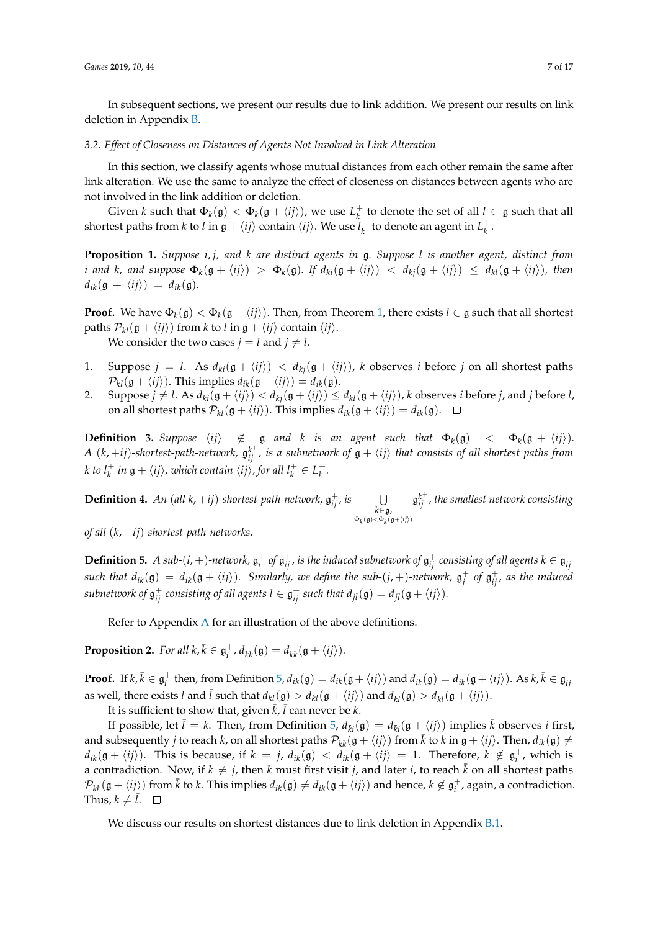In subsequent sections, we present our results due to link addition. We present our results on link deletion in Appendix B.

#### *3.2. Effect of Closeness on Distances of Agents Not Involved in Link Alteration*

In this section, we classify agents whose mutual distances from each other remain the same after link alteration. We use the same to analyze the effect of closeness on distances between agents who are not involved in the link addition or deletion.

Given *k* such that  $\Phi_k(\mathfrak{g}) < \Phi_k(\mathfrak{g} + \langle ij \rangle)$ , we use  $L_k^+$  to denote the set of all  $l \in \mathfrak{g}$  such that all shortest paths from *k* to *l* in  $\mathfrak{g} + \langle ij \rangle$  contain  $\langle ij \rangle$ . We use  $l_k^+$  to denote an agent in  $L_k^+$ .

**Proposition 1.** *Suppose i*, *j, and k are distinct agents in* g*. Suppose l is another agent, distinct from i* and *k*, and suppose  $\Phi_k(\mathfrak{g} + \langle i j \rangle) > \Phi_k(\mathfrak{g})$ . If  $d_{ki}(\mathfrak{g} + \langle i j \rangle) < d_{kj}(\mathfrak{g} + \langle i j \rangle) \leq d_{kl}(\mathfrak{g} + \langle i j \rangle)$ , then  $d_{ik}(\mathfrak{g} + \langle ij \rangle) = d_{ik}(\mathfrak{g}).$ 

**Proof.** We have  $\Phi_k(\mathfrak{g}) < \Phi_k(\mathfrak{g} + \langle ij \rangle)$ . Then, from Theorem 1, there exists  $l \in \mathfrak{g}$  such that all shortest paths  $\mathcal{P}_{kl}(\mathfrak{g} + \langle ij \rangle)$  from *k* to *l* in  $\mathfrak{g} + \langle ij \rangle$  contain  $\langle ij \rangle$ .

We consider the two cases  $j = l$  and  $j \neq l$ .

- 1. Suppose  $j = l$ . As  $d_{ki}(\mathfrak{g} + \langle ij \rangle) < d_{ki}(\mathfrak{g} + \langle ij \rangle)$ , *k* observes *i* before *j* on all shortest paths  $\mathcal{P}_{kl}(\mathfrak{g} + \langle ij \rangle)$ . This implies  $d_{ik}(\mathfrak{g} + \langle ij \rangle) = d_{ik}(\mathfrak{g})$ .
- 2. Suppose  $j \neq l$ . As  $d_{ki}(\mathfrak{g} + \langle ij \rangle) < d_{kj}(\mathfrak{g} + \langle ij \rangle) \leq d_{kl}(\mathfrak{g} + \langle ij \rangle)$ , *k* observes *i* before *j*, and *j* before *l*, on all shortest paths  $\mathcal{P}_{kl}(\mathfrak{g} + \langle ij \rangle)$ . This implies  $d_{ik}(\mathfrak{g} + \langle ij \rangle) = d_{ik}(\mathfrak{g})$ .  $\Box$

**Definition 3.** Suppose  $\langle ij \rangle \notin \mathfrak{g}$  and  $k$  is an agent such that  $\Phi_k(\mathfrak{g}) < \Phi_k(\mathfrak{g} + \langle ij \rangle)$ . A  $(k, +ij)$ -shortest-path-network,  $\mathfrak{g}_{ij}^{k^+}$ , is a subnetwork of  $\mathfrak{g}+\langle ij\rangle$  that consists of all shortest paths from *k* to  $l_k^+$  in  $g + \langle ij \rangle$ , which contain  $\langle ij \rangle$ , for all  $l_k^+ \in L_k^+$ .

**Definition 4.** An (all  $k$ , +*ij*)*-shortest-path-network*,  $\mathfrak{g}_{ij}^+$ , *is*  $\bigcup_{k \in \mathfrak{g}_i}$  $Φ<sub>k</sub>($ g)< $Φ<sub>k</sub>($ g+ $\langle ij \rangle$ ) g *k* + *ij , the smallest network consisting*

*of all* (*k*, +*ij*)*-shortest-path-networks.*

**Definition 5.** A sub-( $i$ , +)-network,  $\mathfrak{g}_i^+$  of  $\mathfrak{g}_{ij}^+$ , is the induced subnetwork of  $\mathfrak{g}_{ij}^+$  consisting of all agents  $k \in \mathfrak{g}_{ij}^+$ such that  $d_{ik}(\mathfrak{g}) = d_{ik}(\mathfrak{g} + \langle ij \rangle)$ . Similarly, we define the sub- $(j,+)$ -network,  $\mathfrak{g}^+_j$  of  $\mathfrak{g}^+_{ij}$ , as the induced  $s$ ubnetwork of  $\mathfrak{g}_{ij}^+$  consisting of all agents  $l \in \mathfrak{g}_{ij}^+$  such that  $d_{jl}(\mathfrak{g}) = d_{jl}(\mathfrak{g} + \langle ij \rangle)$ .

Refer to Appendix A for an illustration of the above definitions.

**Proposition 2.** *For all*  $k, \overline{k} \in \mathfrak{g}_i^+, d_{k\overline{k}}(\mathfrak{g}) = d_{k\overline{k}}(\mathfrak{g} + \langle ij \rangle).$ 

**Proof.** If  $k, \bar{k} \in \mathfrak{g}^+_i$  then, from Definition 5,  $d_{ik}(\mathfrak{g}) = d_{ik}(\mathfrak{g} + \langle ij \rangle)$  and  $d_{i\bar{k}}(\mathfrak{g}) = d_{i\bar{k}}(\mathfrak{g} + \langle ij \rangle)$ . As  $k, \bar{k} \in \mathfrak{g}^+_{ij}$ as well, there exists *l* and  $\bar{l}$  such that  $d_{kl}(\mathfrak{g}) > d_{kl}(\mathfrak{g} + \langle ij \rangle)$  and  $d_{\bar{k}\bar{l}}(\mathfrak{g}) > d_{\bar{k}\bar{l}}(\mathfrak{g} + \langle ij \rangle)$ .

It is sufficient to show that, given  $\bar{k}$ ,  $\bar{l}$  can never be  $k$ .

If possible, let  $\bar{l} = k$ . Then, from Definition 5,  $d_{\bar{k}i}(\mathfrak{g}) = d_{\bar{k}i}(\mathfrak{g} + \langle ij \rangle)$  implies  $\bar{k}$  observes *i* first, and subsequently *j* to reach *k*, on all shortest paths  $\mathcal{P}_{\bar{k}k}(\mathfrak{g} + \langle ij \rangle)$  from  $\bar{k}$  to *k* in  $\mathfrak{g} + \langle ij \rangle$ . Then,  $d_{ik}(\mathfrak{g}) \neq$  $d_{ik}(\mathfrak{g} + \langle ij \rangle)$ . This is because, if  $k = j$ ,  $d_{ik}(\mathfrak{g}) < d_{ik}(\mathfrak{g} + \langle ij \rangle) = 1$ . Therefore,  $k \notin \mathfrak{g}_i^+$ , which is a contradiction. Now, if  $k \neq j$ , then *k* must first visit *j*, and later *i*, to reach  $\bar{k}$  on all shortest paths  $\mathcal{P}_{k\bar{k}}(\mathfrak{g} + \langle ij \rangle)$  from  $\bar{k}$  to  $k$ . This implies  $d_{ik}(\mathfrak{g}) \neq d_{ik}(\mathfrak{g} + \langle ij \rangle)$  and hence,  $k \notin \mathfrak{g}_i^+$ , again, a contradiction. Thus,  $k \neq \overline{l}$ .

We discuss our results on shortest distances due to link deletion in Appendix B.1.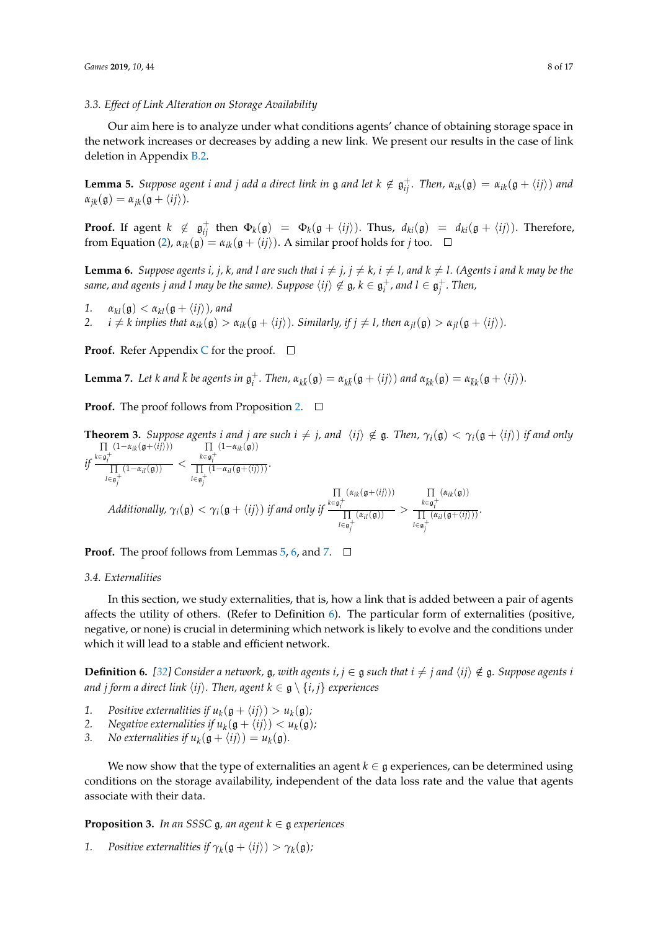#### *3.3. Effect of Link Alteration on Storage Availability*

Our aim here is to analyze under what conditions agents' chance of obtaining storage space in the network increases or decreases by adding a new link. We present our results in the case of link deletion in Appendix B.2.

**Lemma 5.** Suppose agent *i* and *j* add a direct link in  $\mathfrak g$  and let  $k \notin \mathfrak g_{ij}^+$ . Then,  $\alpha_{ik}(\mathfrak g) = \alpha_{ik}(\mathfrak g + \langle ij \rangle)$  and  $\alpha_{ik}(\mathfrak{g}) = \alpha_{ik}(\mathfrak{g} + \langle ij \rangle).$ 

**Proof.** If agent  $k \notin \mathfrak{g}_{ij}^+$  then  $\Phi_k(\mathfrak{g}) = \Phi_k(\mathfrak{g} + \langle ij \rangle)$ . Thus,  $d_{ki}(\mathfrak{g}) = d_{ki}(\mathfrak{g} + \langle ij \rangle)$ . Therefore, from Equation (2),  $\alpha_{ik}(\mathfrak{g}) = \alpha_{ik}(\mathfrak{g} + \langle ij \rangle)$ . A similar proof holds for *j* too.  $\Box$ 

**Lemma 6.** Suppose agents i, j, k, and l are such that  $i \neq j$ ,  $j \neq k$ ,  $i \neq l$ , and  $k \neq l$ . (Agents i and k may be the  $s$ *ame, and agents*  $j$  *and*  $l$  *may be the same). Suppose*  $\langle ij\rangle\not\in\mathfrak{g}, k\in\mathfrak{g}_i^+$ *, and*  $l\in\mathfrak{g}_j^+$ *. Then,* 

*1.*  $\alpha_{kl}(\mathfrak{g}) < \alpha_{kl}(\mathfrak{g} + \langle ij \rangle)$ , and<br>*2.*  $i \neq k$  implies that  $\alpha_{ik}(\mathfrak{g}) >$ 

 $i \neq k$  implies that  $\alpha_{ik}(\mathfrak{g}) > \alpha_{ik}(\mathfrak{g} + \langle ij \rangle)$ . Similarly, if  $j \neq l$ , then  $\alpha_{il}(\mathfrak{g}) > \alpha_{il}(\mathfrak{g} + \langle ij \rangle)$ .

**Proof.** Refer Appendix C for the proof.  $\Box$ 

**Lemma 7.** Let k and  $\bar{k}$  be agents in  $\mathfrak{g}_i^+$ . Then,  $\alpha_{k\bar{k}}(\mathfrak{g}) = \alpha_{k\bar{k}}(\mathfrak{g} + \langle ij \rangle)$  and  $\alpha_{\bar{k}k}(\mathfrak{g}) = \alpha_{\bar{k}k}(\mathfrak{g} + \langle ij \rangle)$ .

**Proof.** The proof follows from Proposition 2. □

**Theorem 3.** *Suppose agents i and j are such*  $i \neq j$ *, and*  $\langle ij \rangle \notin \mathfrak{g}$ *. Then,*  $\gamma_i(\mathfrak{g}) < \gamma_i(\mathfrak{g} + \langle ij \rangle)$  *if and only if* ∏ *k*∈g + *i*  $(1-\alpha_{ik}(\mathfrak{g}+\langle ij \rangle))$ ∏ *l*∈g + *j*  $\frac{1-\alpha_{il}(\mathfrak{g}))}{(1-\alpha_{il}(\mathfrak{g}))}$  < ∏ *k*∈g + *i*  $(1-\alpha_{ik}(\mathfrak{g}))$ ∏ *l*∈g + *j*  $\frac{\sigma_i}{(1-\alpha_{il}(\mathfrak{g}+\langle ij \rangle))}$ . *Additionally,*  $\gamma_i(\mathfrak{g}) < \gamma_i(\mathfrak{g} + \langle ij \rangle)$  *if and only if* ∏ *k*∈g + *i*  $(\alpha_{ik}(\mathfrak{g}+\langle ij\rangle))$ ∏ *l*∈g + *j*  $\frac{a_{il}(\mathfrak{g})}{\sigma(\mathfrak{g})}$  > ∏ *k*∈g + *i*  $(\alpha_{ik}(\mathfrak{g}))$ ∏ *l*∈g + *j*  $\frac{\sigma_i}{(\alpha_{il}(\mathfrak{g}+\langle ij \rangle))}$ .

#### **Proof.** The proof follows from Lemmas  $5, 6$ , and  $7$ .  $\Box$

# *3.4. Externalities*

In this section, we study externalities, that is, how a link that is added between a pair of agents affects the utility of others. (Refer to Definition  $6$ ). The particular form of externalities (positive, negative, or none) is crucial in determining which network is likely to evolve and the conditions under which it will lead to a stable and efficient network.

**Definition 6.** [32] Consider a network, g, with agents  $i, j \in g$  such that  $i \neq j$  and  $\langle ij \rangle \notin g$ . Suppose agents *i and j form a direct link*  $\langle ij \rangle$ *. Then, agent k* ∈ g \  $\{i, j\}$  *experiences* 

- *1.* Positive externalities if  $u_k(\mathfrak{g} + \langle ij \rangle) > u_k(\mathfrak{g})$ ;
- 2. Negative externalities if  $u_k(\mathfrak{g} + \langle ij \rangle) < u_k(\mathfrak{g})$ ;
- 3. No externalities if  $u_k(\mathfrak{g} + \langle ij \rangle) = u_k(\mathfrak{g})$ .

We now show that the type of externalities an agent  $k \in \mathfrak{g}$  experiences, can be determined using conditions on the storage availability, independent of the data loss rate and the value that agents associate with their data.

**Proposition 3.** *In an SSSC*  $\mathfrak{g}$ *, an agent*  $k \in \mathfrak{g}$  *experiences* 

*1.* Positive externalities if  $\gamma_k(\mathfrak{g} + \langle ij \rangle) > \gamma_k(\mathfrak{g})$ ;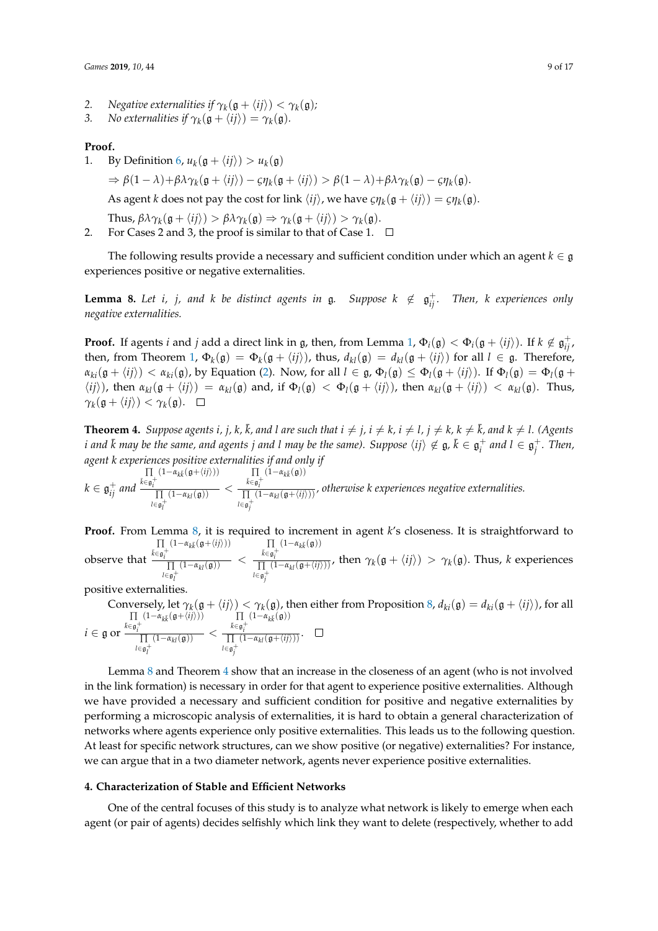- 2. *Negative externalities if*  $\gamma_k(\mathfrak{g} + \langle ij \rangle) < \gamma_k(\mathfrak{g})$ *;*
- 3. *No externalities if*  $\gamma_k(\mathfrak{g} + \langle ij \rangle) = \gamma_k(\mathfrak{g})$ *.*

#### **Proof.**

1. By Definition 6,  $u_k(\mathfrak{g} + \langle ij \rangle) > u_k(\mathfrak{g})$ 

 $\Rightarrow \beta(1-\lambda)+\beta\lambda\gamma_k(\mathfrak{g}+\langle ij \rangle) - \zeta\eta_k(\mathfrak{g}+\langle ij \rangle) > \beta(1-\lambda)+\beta\lambda\gamma_k(\mathfrak{g}) - \zeta\eta_k(\mathfrak{g}).$ 

As agent *k* does not pay the cost for link  $\langle ij \rangle$ , we have  $\zeta \eta_k(\mathfrak{g} + \langle ij \rangle) = \zeta \eta_k(\mathfrak{g})$ .

Thus,  $\beta \lambda \gamma_k(\mathfrak{g} + \langle ij \rangle) > \beta \lambda \gamma_k(\mathfrak{g}) \Rightarrow \gamma_k(\mathfrak{g} + \langle ij \rangle) > \gamma_k(\mathfrak{g}).$ 

2. For Cases 2 and 3, the proof is similar to that of Case 1.  $\Box$ 

The following results provide a necessary and sufficient condition under which an agent  $k \in \mathfrak{g}$ experiences positive or negative externalities.

**Lemma 8.** Let *i, j,* and *k* be distinct agents in  $\mathfrak{g}$ . Suppose  $k \notin \mathfrak{g}_{ij}^+$ . Then, *k* experiences only *negative externalities.*

**Proof.** If agents *i* and *j* add a direct link in g, then, from Lemma 1,  $\Phi_i(\mathfrak{g}) < \Phi_i(\mathfrak{g} + \langle ij \rangle)$ . If  $k \notin \mathfrak{g}_{ij}^+$ , then, from Theorem 1,  $\Phi_k(\mathfrak{g}) = \Phi_k(\mathfrak{g} + \langle ij \rangle)$ , thus,  $d_{kl}(\mathfrak{g}) = d_{kl}(\mathfrak{g} + \langle ij \rangle)$  for all  $l \in \mathfrak{g}$ . Therefore,  $a_{ki}(\mathfrak{g} + \langle ij \rangle) < a_{ki}(\mathfrak{g})$ , by Equation (2). Now, for all  $l \in \mathfrak{g}$ ,  $\Phi_l(\mathfrak{g}) \leq \Phi_l(\mathfrak{g} + \langle ij \rangle)$ . If  $\Phi_l(\mathfrak{g}) = \Phi_l(\mathfrak{g} + \langle ij \rangle)$  $\langle i j \rangle$ ), then  $\alpha_{kl}(\mathfrak{g} + \langle i j \rangle) = \alpha_{kl}(\mathfrak{g})$  and, if  $\Phi_l(\mathfrak{g}) < \Phi_l(\mathfrak{g} + \langle i j \rangle)$ , then  $\alpha_{kl}(\mathfrak{g} + \langle i j \rangle) < \alpha_{kl}(\mathfrak{g})$ . Thus,  $\gamma_k(\mathfrak{g} + \langle ij \rangle) < \gamma_k(\mathfrak{g}).$ 

**Theorem 4.** Suppose agents i, j, k,  $\bar{k}$ , and l are such that  $i \neq j$ ,  $i \neq k$ ,  $i \neq l$ ,  $j \neq k$ ,  $k \neq \bar{k}$ , and  $k \neq l$ . (Agents  $i$  *and*  $\bar{k}$  *may be the same, and agents*  $j$  *<i>and*  $l$  *may be the same). Suppose*  $\langle ij\rangle\not\in\mathfrak{g},\bar{k}\in\mathfrak{g}_i^+$  *<i>and*  $l\in\mathfrak{g}_j^+$ *. Then, i agent k experiences positive externalities if and only if*

 $k \in \mathfrak{g}_{ij}^+$  and ∏ ¯*k*∈g + *i*  $(1-\alpha_{k\bar{k}}(\mathfrak{g}+\langle ij \rangle))$ ∏ *l*∈g + *l*  $\frac{1-\alpha_{kl}(\mathfrak{g}))}{(1-\alpha_{kl}(\mathfrak{g}))}$  < ∏  $\bar{k} \in \mathfrak{g}^+_i$  $(1-\alpha_{k\bar{k}}(\mathfrak{g}))$ ∏ *l*∈g + *j* (1−*αkl*(g+h*ij*i))*, otherwise k experiences negative externalities.*

**Proof.** From Lemma 8, it is required to increment in agent *k*'s closeness. It is straightforward to ∏ ¯*k*∈g + *i*  $(1-\alpha_{k\bar{k}}(\mathfrak{g}+\langle ij \rangle))$ ∏ ¯*k*∈g + *i*  $(1-\alpha_{k\bar{k}}(\mathfrak{g}))$ 

observe that ∏ *l*∈g<sup>+</sup>  $\frac{1-\alpha_{kl}(\mathfrak{g}))}{(1-\alpha_{kl}(\mathfrak{g}))}$  < ∏ *l*∈g + *j*  $\frac{\mathfrak{g}_i}{(1-\alpha_{kl}(\mathfrak{g}+\langle i j \rangle))}$ , then  $\gamma_k(\mathfrak{g}+\langle i j \rangle) > \gamma_k(\mathfrak{g})$ . Thus, *k* experiences

positive externalities.

Conversely, let  $\gamma_k(g + \langle ij \rangle) < \gamma_k(g)$ , then either from Proposition 8,  $d_{ki}(g) = d_{ki}(g + \langle ij \rangle)$ , for all *i* ∈ g or ∏ ¯*k*∈g + *i*  $(1-\alpha_{k\bar{k}}(\mathfrak{g}+\langle ij \rangle))$ ∏ *l*∈g<sup>+</sup><sub>*l*</sub><sup>+</sup>  $\frac{1-\alpha_{kl}(\mathfrak{g}))}{(1-\alpha_{kl}(\mathfrak{g}))}$  < ∏ ¯*k*∈g + *i*  $(1-\alpha_{k\bar{k}}(\mathfrak{g}))$ ∏ *l*∈g + *j*  $\frac{\sigma_i}{(1-\alpha_{kl}(\mathfrak{g}+\langle ij \rangle))}$ .

Lemma 8 and Theorem 4 show that an increase in the closeness of an agent (who is not involved in the link formation) is necessary in order for that agent to experience positive externalities. Although we have provided a necessary and sufficient condition for positive and negative externalities by performing a microscopic analysis of externalities, it is hard to obtain a general characterization of networks where agents experience only positive externalities. This leads us to the following question. At least for specific network structures, can we show positive (or negative) externalities? For instance, we can argue that in a two diameter network, agents never experience positive externalities.

#### **4. Characterization of Stable and Efficient Networks**

One of the central focuses of this study is to analyze what network is likely to emerge when each agent (or pair of agents) decides selfishly which link they want to delete (respectively, whether to add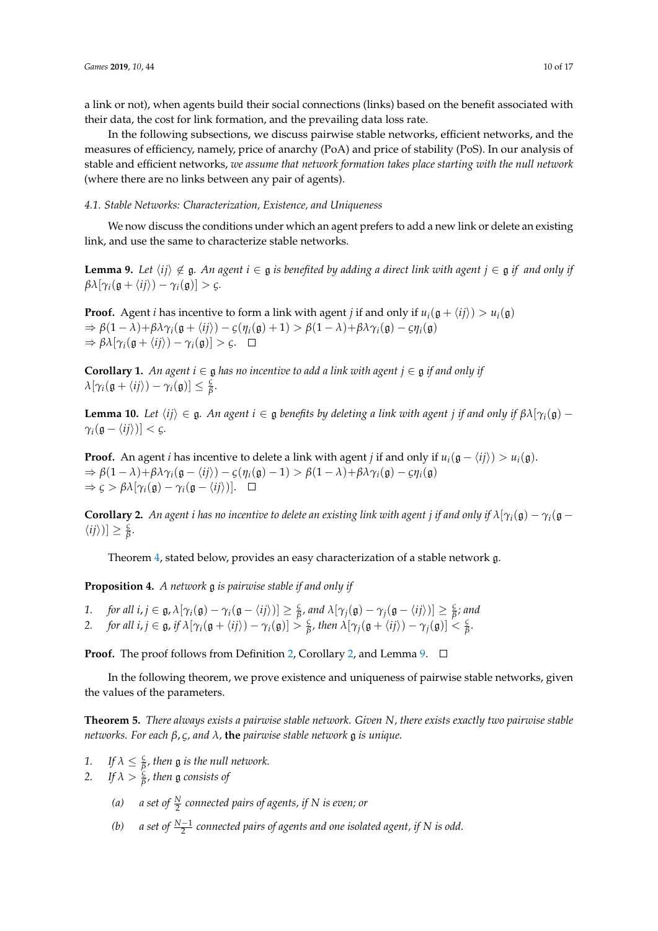a link or not), when agents build their social connections (links) based on the benefit associated with their data, the cost for link formation, and the prevailing data loss rate.

In the following subsections, we discuss pairwise stable networks, efficient networks, and the measures of efficiency, namely, price of anarchy (PoA) and price of stability (PoS). In our analysis of stable and efficient networks, *we assume that network formation takes place starting with the null network* (where there are no links between any pair of agents).

#### *4.1. Stable Networks: Characterization, Existence, and Uniqueness*

We now discuss the conditions under which an agent prefers to add a new link or delete an existing link, and use the same to characterize stable networks.

**Lemma 9.** Let  $\langle ij \rangle \notin \mathfrak{g}$ . An agent  $i \in \mathfrak{g}$  is benefited by adding a direct link with agent  $j \in \mathfrak{g}$  if and only if  $\beta \lambda [\gamma_i(\mathfrak{g} + \langle ij \rangle) - \gamma_i(\mathfrak{g})] > \varsigma.$ 

**Proof.** Agent *i* has incentive to form a link with agent *j* if and only if  $u_i(\mathfrak{g} + \langle i j \rangle) > u_i(\mathfrak{g})$  $\Rightarrow \beta(1-\lambda)+\beta\lambda\gamma_i(\mathfrak{g}+\langle i j \rangle) - \zeta(\eta_i(\mathfrak{g})+1) > \beta(1-\lambda)+\beta\lambda\gamma_i(\mathfrak{g}) - \zeta\eta_i(\mathfrak{g})$  $\Rightarrow \beta \lambda [\gamma_i(\mathfrak{g} + \langle ij \rangle) - \gamma_i(\mathfrak{g})] > \zeta. \quad \Box$ 

**Corollary 1.** An agent  $i \in \mathfrak{g}$  has no incentive to add a link with agent  $j \in \mathfrak{g}$  if and only if  $\lambda[\gamma_i(\mathfrak{g} + \langle ij \rangle) - \gamma_i(\mathfrak{g})] \leq \frac{\varsigma}{\beta}$ *β .*

**Lemma 10.** Let  $\langle ij \rangle \in \mathfrak{g}$ . An agent  $i \in \mathfrak{g}$  benefits by deleting a link with agent *j* if and only if  $\beta \lambda[\gamma_i(\mathfrak{g}) \gamma_i(\mathfrak{g} - \langle ij \rangle) < \varsigma$ *.* 

**Proof.** An agent *i* has incentive to delete a link with agent *j* if and only if  $u_i(\mathfrak{g} - \langle i j \rangle) > u_i(\mathfrak{g})$ .  $\Rightarrow \beta(1-\lambda)+\beta\lambda\gamma_i(\mathfrak{g}-\langle ij \rangle) - \zeta(\eta_i(\mathfrak{g})-1) > \beta(1-\lambda)+\beta\lambda\gamma_i(\mathfrak{g}) - \zeta\eta_i(\mathfrak{g})$  $\Rightarrow \varsigma > \beta \lambda [\gamma_i(\mathfrak{g}) - \gamma_i(\mathfrak{g} - \langle ij \rangle)]. \quad \Box$ 

**Corollary 2.** An agent *i* has no incentive to delete an existing link with agent *j* if and only if  $\lambda[\gamma_i(\mathfrak{g}) - \gamma_i(\mathfrak{g} \langle ij \rangle$ ]  $\geq \frac{6}{6}$ *β .*

Theorem 4, stated below, provides an easy characterization of a stable network g.

**Proposition 4.** *A network* g *is pairwise stable if and only if*

- *1. for all i, j*  $\in$  **g**,  $\lambda[\gamma_i(\mathfrak{g}) \gamma_i(\mathfrak{g} \langle ij \rangle)] \geq \frac{c}{\beta}$  $\frac{g}{\beta}$ , and  $\lambda[\gamma_j(\mathfrak{g}) - \gamma_j(\mathfrak{g} - \langle ij \rangle)] \geq \frac{g}{\beta}$ *β ; and*
- 2. *for all i, j*  $\in$  g, *if*  $\lambda[\gamma_i(g + \langle ij \rangle) \gamma_i(g)] > \frac{c}{\beta}$  $\frac{g}{\beta}$ *, then*  $\lambda[\gamma_j(\mathfrak{g} + \langle ij \rangle) - \gamma_j(\mathfrak{g})] < \frac{g}{\beta}$ *β .*

**Proof.** The proof follows from Definition 2, Corollary 2, and Lemma 9.  $\Box$ 

In the following theorem, we prove existence and uniqueness of pairwise stable networks, given the values of the parameters.

**Theorem 5.** *There always exists a pairwise stable network. Given N, there exists exactly two pairwise stable networks. For each β*, *ς, and λ,* **the** *pairwise stable network* g *is unique.*

- 1. If  $\lambda \leq \frac{c}{\beta}$ *β , then* g *is the null network.*
- 2. If  $\lambda > \frac{5}{6}$ *β , then* g *consists of*
	- (a) a set of  $\frac{N}{2}$  connected pairs of agents, if N is even; or
	- *(b) a set of <sup>N</sup>*−<sup>1</sup> 2 *connected pairs of agents and one isolated agent, if N is odd.*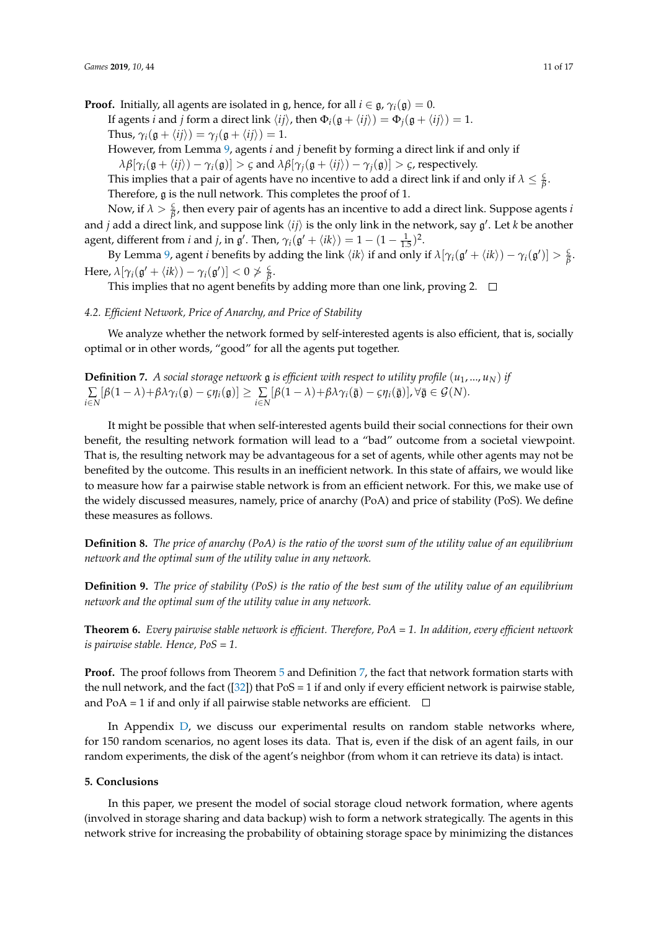**Proof.** Initially, all agents are isolated in  $\mathfrak{g}$ , hence, for all  $i \in \mathfrak{g}$ ,  $\gamma_i(\mathfrak{g}) = 0$ . If agents *i* and *j* form a direct link  $\langle ij \rangle$ , then  $\Phi_i(\mathfrak{g} + \langle ij \rangle) = \Phi_j(\mathfrak{g} + \langle ij \rangle) = 1$ . Thus,  $\gamma_i(\mathfrak{g} + \langle i j \rangle) = \gamma_i(\mathfrak{g} + \langle i j \rangle) = 1.$ 

However, from Lemma 9, agents *i* and *j* benefit by forming a direct link if and only if

 $\lambda \beta[\gamma_i(\mathfrak{g} + \langle i j \rangle) - \gamma_i(\mathfrak{g})] > \varsigma$  and  $\lambda \beta[\gamma_i(\mathfrak{g} + \langle i j \rangle) - \gamma_i(\mathfrak{g})] > \varsigma$ , respectively.

This implies that a pair of agents have no incentive to add a direct link if and only if  $\lambda \leq \frac{c}{\beta}$ *β* . Therefore, g is the null network. This completes the proof of 1.

Now, if  $\lambda > \frac{c}{\beta}$ *β* , then every pair of agents has an incentive to add a direct link. Suppose agents *i* and *j* add a direct link, and suppose link  $\langle ij \rangle$  is the only link in the network, say  $\mathfrak{g}'$ . Let *k* be another agent, different from *i* and *j*, in  $\mathfrak{g}'$ . Then,  $\gamma_i(\mathfrak{g}' + \langle i k \rangle) = 1 - (1 - \frac{1}{1.5})^2$ .

By Lemma 9, agent *i* benefits by adding the link  $\langle ik \rangle$  if and only if  $\lambda[\gamma_i(\mathfrak{g}' + \langle ik \rangle) - \gamma_i(\mathfrak{g}')] > \frac{c}{\beta}$ *β* . Here,  $\lambda[\gamma_i(\mathfrak{g}' + \langle ik \rangle) - \gamma_i(\mathfrak{g}')] < 0 \ngtr \frac{\mathfrak{g}}{\mathfrak{g}}$ *β* .

This implies that no agent benefits by adding more than one link, proving 2.  $\Box$ 

#### *4.2. Efficient Network, Price of Anarchy, and Price of Stability*

We analyze whether the network formed by self-interested agents is also efficient, that is, socially optimal or in other words, "good" for all the agents put together.

**Definition 7.** *A social storage network*  $\mathfrak g$  *is efficient with respect to utility profile*  $(u_1, ..., u_N)$  *if* ∑  $\sum_{i\in N} [\beta(1-\lambda)+\beta\lambda\gamma_i(\mathfrak{g})-\varsigma\eta_i(\mathfrak{g})]\geq \sum_{i\in N} [\beta(1-\lambda)+\beta\lambda\gamma_i(\bar{\mathfrak{g}})-\varsigma\eta_i(\bar{\mathfrak{g}})], \forall \bar{\mathfrak{g}}\in\mathcal{G}(N).$ 

It might be possible that when self-interested agents build their social connections for their own benefit, the resulting network formation will lead to a "bad" outcome from a societal viewpoint. That is, the resulting network may be advantageous for a set of agents, while other agents may not be benefited by the outcome. This results in an inefficient network. In this state of affairs, we would like to measure how far a pairwise stable network is from an efficient network. For this, we make use of the widely discussed measures, namely, price of anarchy (PoA) and price of stability (PoS). We define these measures as follows.

**Definition 8.** *The price of anarchy (PoA) is the ratio of the worst sum of the utility value of an equilibrium network and the optimal sum of the utility value in any network.*

**Definition 9.** *The price of stability (PoS) is the ratio of the best sum of the utility value of an equilibrium network and the optimal sum of the utility value in any network.*

**Theorem 6.** *Every pairwise stable network is efficient. Therefore, PoA = 1. In addition, every efficient network is pairwise stable. Hence, PoS = 1.*

**Proof.** The proof follows from Theorem 5 and Definition 7, the fact that network formation starts with the null network, and the fact ([32]) that  $PoS = 1$  if and only if every efficient network is pairwise stable, and PoA = 1 if and only if all pairwise stable networks are efficient.  $\Box$ 

In Appendix D, we discuss our experimental results on random stable networks where, for 150 random scenarios, no agent loses its data. That is, even if the disk of an agent fails, in our random experiments, the disk of the agent's neighbor (from whom it can retrieve its data) is intact.

# **5. Conclusions**

In this paper, we present the model of social storage cloud network formation, where agents (involved in storage sharing and data backup) wish to form a network strategically. The agents in this network strive for increasing the probability of obtaining storage space by minimizing the distances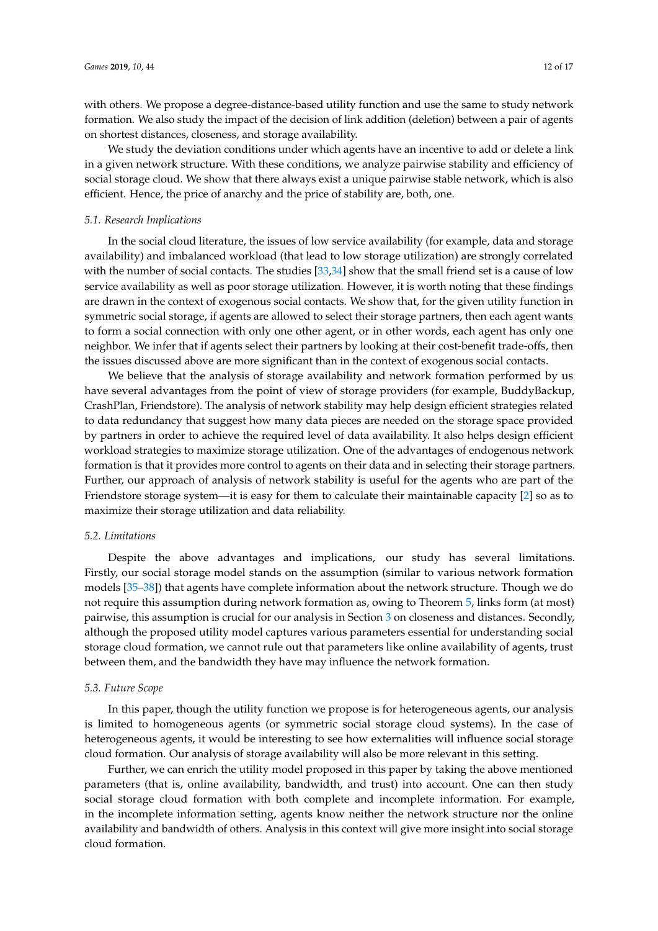with others. We propose a degree-distance-based utility function and use the same to study network formation. We also study the impact of the decision of link addition (deletion) between a pair of agents on shortest distances, closeness, and storage availability.

We study the deviation conditions under which agents have an incentive to add or delete a link in a given network structure. With these conditions, we analyze pairwise stability and efficiency of social storage cloud. We show that there always exist a unique pairwise stable network, which is also efficient. Hence, the price of anarchy and the price of stability are, both, one.

#### *5.1. Research Implications*

In the social cloud literature, the issues of low service availability (for example, data and storage availability) and imbalanced workload (that lead to low storage utilization) are strongly correlated with the number of social contacts. The studies [33,34] show that the small friend set is a cause of low service availability as well as poor storage utilization. However, it is worth noting that these findings are drawn in the context of exogenous social contacts. We show that, for the given utility function in symmetric social storage, if agents are allowed to select their storage partners, then each agent wants to form a social connection with only one other agent, or in other words, each agent has only one neighbor. We infer that if agents select their partners by looking at their cost-benefit trade-offs, then the issues discussed above are more significant than in the context of exogenous social contacts.

We believe that the analysis of storage availability and network formation performed by us have several advantages from the point of view of storage providers (for example, BuddyBackup, CrashPlan, Friendstore). The analysis of network stability may help design efficient strategies related to data redundancy that suggest how many data pieces are needed on the storage space provided by partners in order to achieve the required level of data availability. It also helps design efficient workload strategies to maximize storage utilization. One of the advantages of endogenous network formation is that it provides more control to agents on their data and in selecting their storage partners. Further, our approach of analysis of network stability is useful for the agents who are part of the Friendstore storage system—it is easy for them to calculate their maintainable capacity [2] so as to maximize their storage utilization and data reliability.

#### *5.2. Limitations*

Despite the above advantages and implications, our study has several limitations. Firstly, our social storage model stands on the assumption (similar to various network formation models [35–38]) that agents have complete information about the network structure. Though we do not require this assumption during network formation as, owing to Theorem 5, links form (at most) pairwise, this assumption is crucial for our analysis in Section 3 on closeness and distances. Secondly, although the proposed utility model captures various parameters essential for understanding social storage cloud formation, we cannot rule out that parameters like online availability of agents, trust between them, and the bandwidth they have may influence the network formation.

#### *5.3. Future Scope*

In this paper, though the utility function we propose is for heterogeneous agents, our analysis is limited to homogeneous agents (or symmetric social storage cloud systems). In the case of heterogeneous agents, it would be interesting to see how externalities will influence social storage cloud formation. Our analysis of storage availability will also be more relevant in this setting.

Further, we can enrich the utility model proposed in this paper by taking the above mentioned parameters (that is, online availability, bandwidth, and trust) into account. One can then study social storage cloud formation with both complete and incomplete information. For example, in the incomplete information setting, agents know neither the network structure nor the online availability and bandwidth of others. Analysis in this context will give more insight into social storage cloud formation.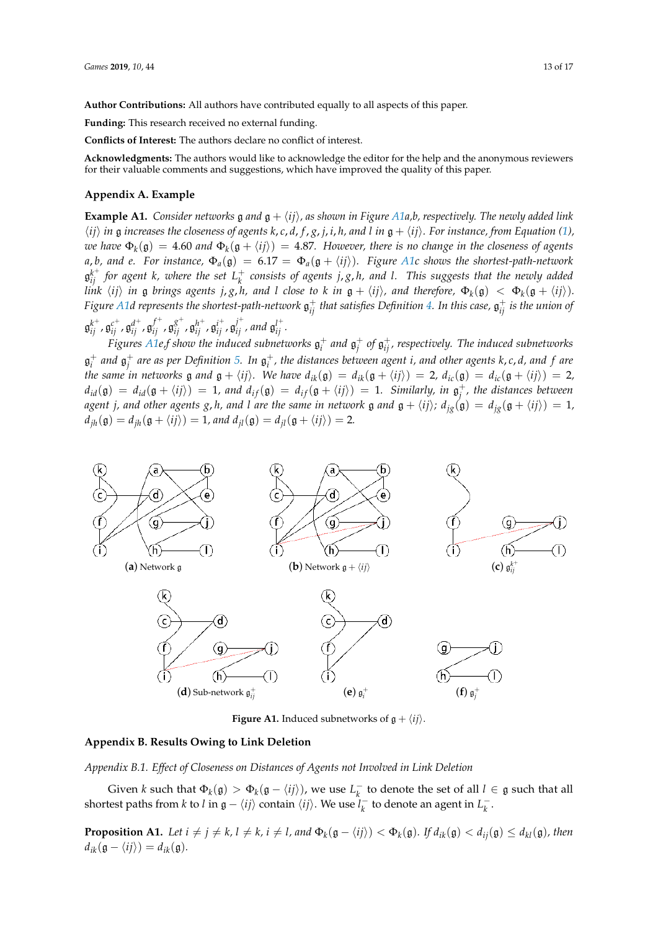**Author Contributions:** All authors have contributed equally to all aspects of this paper.

**Funding:** This research received no external funding.

**Conflicts of Interest:** The authors declare no conflict of interest.

**Acknowledgments:** The authors would like to acknowledge the editor for the help and the anonymous reviewers for their valuable comments and suggestions, which have improved the quality of this paper.

#### **Appendix A. Example**

**Example A1.** *Consider networks* g *and*  $g + \langle ij \rangle$ *, as shown in Figure A1a,b, respectively. The newly added link*  $\langle ij \rangle$  in g increases the closeness of agents k, c, d, f, g, j, i, h, and l in  $g + \langle ij \rangle$ . For instance, from Equation (1),  $w$ e have  $\Phi_k(\mathfrak{g})=4.60$  and  $\Phi_k(\mathfrak{g}+\langle ij\rangle)=4.87.$  However, there is no change in the closeness of agents *a*, *b*, and *e.* For instance,  $\Phi_a(\mathfrak{g}) = 6.17 = \Phi_a(\mathfrak{g} + \langle ij \rangle)$ . Figure A1c shows the shortest-path-network  $\mathfrak{g}_{ij}^{k^+}$  *for agent k, where the set*  $L^+_k$  consists of agents  $j, g, h$ , and l. This suggests that the newly added link  $\langle ij\rangle$  in  ${\mathfrak g}$  brings agents j, g, h, and l close to k in  ${\mathfrak g}+\langle ij\rangle$ , and therefore,  $\Phi_k({\mathfrak g})~<~\Phi_k({\mathfrak g}+\langle ij\rangle).$ Figure A1d represents the shortest-path-network  $\mathfrak{g}_{ij}^+$  that satisfies Definition 4. In this case,  $\mathfrak{g}_{ij}^+$  is the union of  $\mathfrak{g}_{ij}^{k^+}, \mathfrak{g}_{ij}^{c^+}, \mathfrak{g}_{ij}^{d^+}, \mathfrak{g}_{ij}^{f^+}, \mathfrak{g}_{ij}^{g^+}, \mathfrak{g}_{ij}^{h^+}, \mathfrak{g}_{ij}^{i^+}, \mathfrak{g}_{ij}^{j^+},$  and  $\mathfrak{g}_{ij}^{l^+}.$ 

Figures A1e,f show the induced subnetworks  $\mathfrak{g}_i^+$  and  $\mathfrak{g}_j^+$  of  $\mathfrak{g}_{ij}^+$ , respectively. The induced subnetworks  $\mathfrak{g}_i^+$  and  $\mathfrak{g}_j^+$  are as per Definition 5. In  $\mathfrak{g}_i^+$ , the distances between agent  $i$ , and other agents  $k$ ,  $c$ ,  $d$ , and  $f$  are *the same in networks*  $\mathfrak{g}$  *and*  $\mathfrak{g} + \langle ij \rangle$ *. We have*  $d_{ik}(\mathfrak{g}) = d_{ik}(\mathfrak{g} + \langle ij \rangle) = 2$ *,*  $d_{ic}(\mathfrak{g}) = d_{ic}(\mathfrak{g} + \langle ij \rangle) = 2$ *,*  $d_{id}(\mathfrak{g}) = d_{id}(\mathfrak{g} + \langle ij \rangle) = 1$ , and  $d_{if}(\mathfrak{g}) = d_{if}(\mathfrak{g} + \langle ij \rangle) = 1$ . Similarly, in  $\mathfrak{g}^+_j$ , the distances between *agent j, and other agents g, h, and l are the same in network* g and  $g + \langle ij \rangle$ ;  $d_{ig}(g) = d_{ig}(g + \langle ij \rangle) = 1$ ,  $d_{ih}(\mathfrak{g}) = d_{ih}(\mathfrak{g} + \langle ij \rangle) = 1$ *, and*  $d_{il}(\mathfrak{g}) = d_{il}(\mathfrak{g} + \langle ij \rangle) = 2$ *.* 



**Figure A1.** Induced subnetworks of  $g + \langle ij \rangle$ .

# **Appendix B. Results Owing to Link Deletion**

*Appendix B.1. Effect of Closeness on Distances of Agents not Involved in Link Deletion*

Given *k* such that  $\Phi_k(\mathfrak{g}) > \Phi_k(\mathfrak{g} - \langle ij \rangle)$ , we use  $L_k^-$  to denote the set of all  $l \in \mathfrak{g}$  such that all shortest paths from *k* to *l* in  $\mathfrak{g} - \langle ij \rangle$  contain  $\langle ij \rangle$ . We use  $l_k^-$  to denote an agent in  $L_k^-$ .

**Proposition A1.** Let  $i \neq j \neq k$ ,  $l \neq k$ ,  $i \neq l$ , and  $\Phi_k(\mathfrak{g} - \langle ij \rangle) < \Phi_k(\mathfrak{g})$ . If  $d_{ik}(\mathfrak{g}) < d_{ij}(\mathfrak{g}) \leq d_{kl}(\mathfrak{g})$ , then  $d_{ik}(\mathfrak{g} - \langle ij \rangle) = d_{ik}(\mathfrak{g}).$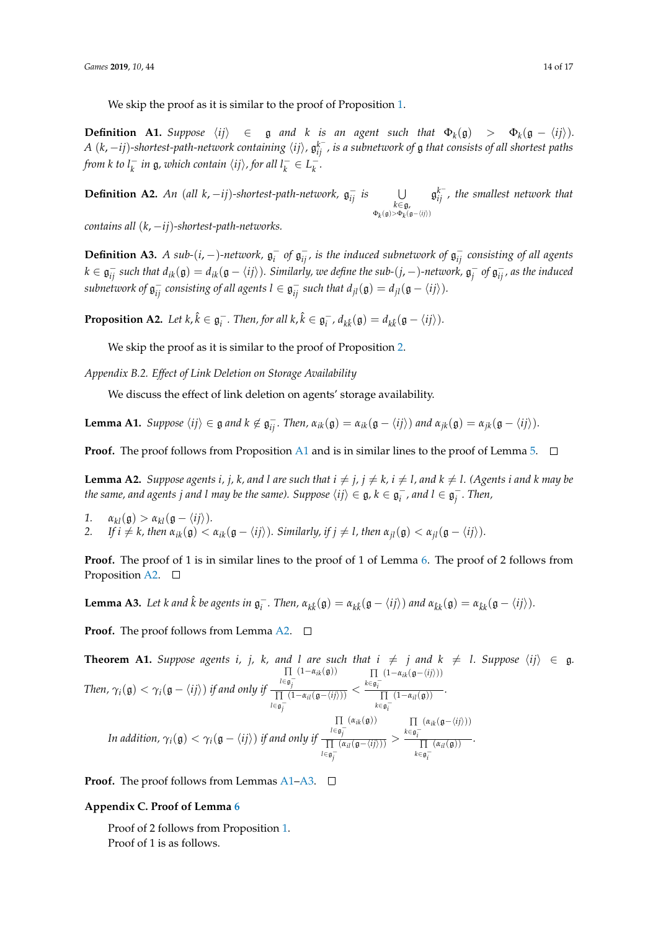We skip the proof as it is similar to the proof of Proposition 1.

**Definition A1.** Suppose  $\langle ij \rangle \in \mathfrak{g}$  and  $k$  is an agent such that  $\Phi_k(\mathfrak{g}) > \Phi_k(\mathfrak{g} - \langle ij \rangle)$ .  $A$   $(k,-ij)$ -shortest-path-network containing  $\langle ij\rangle$ ,  $\mathfrak{g}_{ij}^k$  , is a subnetwork of  $\mathfrak g$  that consists of all shortest paths *from k to*  $l_k^-$  *in*  $\mathfrak{g}$ *, which contain*  $\langle ij \rangle$ *, for all*  $l_k^- \in L_k^-$ .

**Definition A2.** *An* (*all k*, −*ij*)*-shortest-path-network,*  $\mathfrak{g}_{ij}^-$  *is*  $\bigcup_{k \in \mathfrak{g}_i}$  $Φ<sub>k</sub>($ g) > Φ<sub>k</sub>( $σ−\langle ij \rangle$ )g *k* − *ij , the smallest network that*

*contains all* (*k*, −*ij*)*-shortest-path-networks.*

**Definition A3.** *A sub-*(*i*, –)-network,  $\mathfrak{g}_i^-$  of  $\mathfrak{g}_{ij}^-$ , is the induced subnetwork of  $\mathfrak{g}_{ij}^-$  consisting of all agents  $k\in\mathfrak{g}_{ij}^+$  such that  $d_{ik}(\mathfrak{g})=d_{ik}(\mathfrak{g}-\langle ij\rangle).$  Similarly, we define the sub-(j,  $-$  )-network,  $\mathfrak{g}_j^+$  of  $\mathfrak{g}_{ij}^-$ , as the induced  $s$ ubnetwork of  $\mathfrak{g}_{ij}^-$  consisting of all agents  $l \in \mathfrak{g}_{ij}^-$  such that  $d_{jl}(\mathfrak{g}) = d_{jl}(\mathfrak{g} - \langle ij \rangle)$ .

**Proposition A2.** Let  $k, \hat{k} \in \mathfrak{g}_{i}^{-}$ . Then, for all  $k, \hat{k} \in \mathfrak{g}_{i}^{-}$ ,  $d_{k\hat{k}}(\mathfrak{g}) = d_{k\hat{k}}(\mathfrak{g} - \langle ij \rangle)$ .

We skip the proof as it is similar to the proof of Proposition 2.

*Appendix B.2. Effect of Link Deletion on Storage Availability*

We discuss the effect of link deletion on agents' storage availability.

**Lemma A1.** Suppose  $\langle ij \rangle \in \mathfrak{g}$  and  $k \notin \mathfrak{g}_{ij}^-$ . Then,  $\alpha_{ik}(\mathfrak{g}) = \alpha_{ik}(\mathfrak{g} - \langle ij \rangle)$  and  $\alpha_{jk}(\mathfrak{g}) = \alpha_{jk}(\mathfrak{g} - \langle ij \rangle)$ .

**Proof.** The proof follows from Proposition A1 and is in similar lines to the proof of Lemma 5.  $\Box$ 

**Lemma A2.** Suppose agents i, j, k, and l are such that  $i \neq j$ ,  $j \neq k$ ,  $i \neq l$ , and  $k \neq l$ . (Agents i and k may be *the same, and agents*  $j$  *and*  $l$  *may be the same). Suppose*  $\langle ij \rangle \in \mathfrak{g}$ *,*  $k \in \mathfrak{g}_i^-,$  *and*  $l \in \mathfrak{g}_j^-.$  *Then,* 

- *1.*  $\alpha_{kl}(\mathfrak{g}) > \alpha_{kl}(\mathfrak{g} \langle ij \rangle).$
- *2. If*  $i \neq k$ , then  $\alpha_{ik}(\mathfrak{g}) < \alpha_{ik}(\mathfrak{g} \langle ij \rangle)$ *. Similarly, if*  $j \neq l$ , then  $\alpha_{jl}(\mathfrak{g}) < \alpha_{jl}(\mathfrak{g} \langle ij \rangle)$ *.*

**Proof.** The proof of 1 is in similar lines to the proof of 1 of Lemma 6. The proof of 2 follows from Proposition A2.  $\square$ 

**Lemma A3.** Let k and  $\hat{k}$  be agents in  $\mathfrak{g}_i^-$ . Then,  $\alpha_{k\hat{k}}(\mathfrak{g}) = \alpha_{k\hat{k}}(\mathfrak{g} - \langle ij \rangle)$  and  $\alpha_{\hat{k}k}(\mathfrak{g}) = \alpha_{\hat{k}k}(\mathfrak{g} - \langle ij \rangle)$ .

**Proof.** The proof follows from Lemma A2.  $\Box$ 

**Theorem A1.** Suppose agents *i, j, k,* and *l* are such that  $i \neq j$  and  $k \neq l$ . Suppose  $\langle ij \rangle \in \mathfrak{g}$ . *Then,*  $\gamma_i(\mathfrak{g}) < \gamma_i(\mathfrak{g} - \langle ij \rangle)$  *if and only if* ∏ *l*∈g<sup>-</sup><sub>*j*</sub>  $(1-\alpha_{ik}(\mathfrak{g}))$ ∏ *l*∈g<sub>j</sub><sup>−</sup>  $\frac{\partial^3 j}{(1-\alpha_{il}(\mathfrak{g}-\langle ij\rangle))}$  < ∏ *k*∈g − *i*  $(1-\alpha_{ik}(\mathfrak{g}-\langle ij \rangle))$ ∏  $k ∈ g_i^ \overline{(1-\alpha_{il}(\mathfrak{g}))}$ . *In addition,*  $\gamma_i(\mathfrak{g}) < \gamma_i(\mathfrak{g} - \langle ij \rangle)$  *if and only if* ∏ *l*∈g − *j*  $(\alpha_{ik}(\mathfrak{g}))$ ∏ *l*∈g − *j*  $\frac{\partial^{\sigma} j}{(\alpha_{il}(\mathfrak{g}-\langle ij\rangle))} >$ ∏ *k*∈g − *i*  $(\alpha_{ik}(\mathfrak{g}-\langle ij\rangle))$ ∏ *k*∈g − *i*  $\overline{(\alpha_{il}(\mathfrak{g}))}$ .

**Proof.** The proof follows from Lemmas  $A1-A3$ .  $\Box$ 

# **Appendix C. Proof of Lemma 6**

Proof of 2 follows from Proposition 1. Proof of 1 is as follows.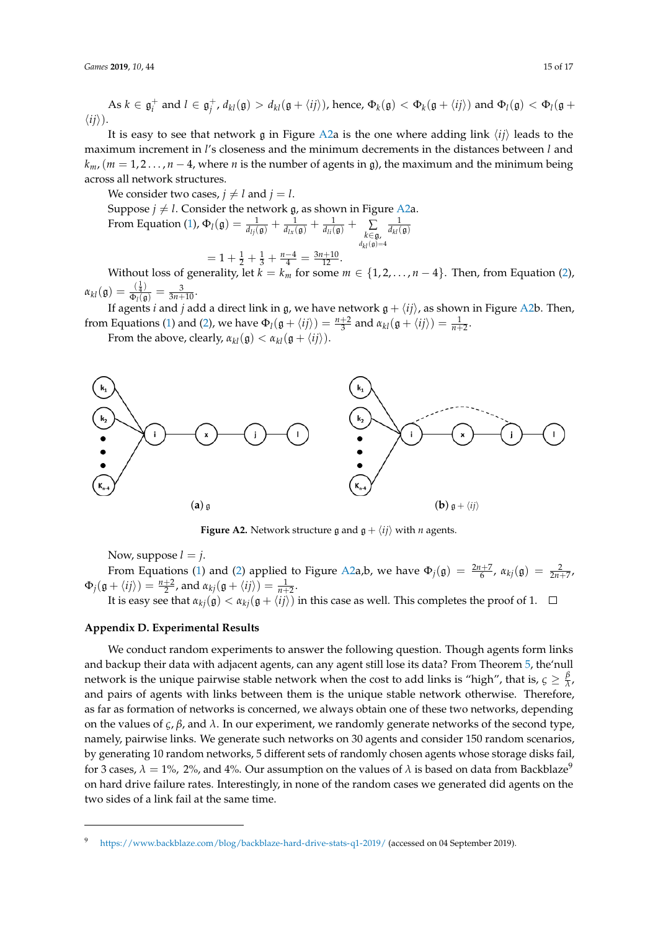$\Delta s \ k \in \mathfrak{g}^+_i$  and  $l \in \mathfrak{g}^+_j$ ,  $d_{kl}(\mathfrak{g}) > d_{kl}(\mathfrak{g} + \langle ij \rangle)$ , hence,  $\Phi_k(\mathfrak{g}) < \Phi_k(\mathfrak{g} + \langle ij \rangle)$  and  $\Phi_l(\mathfrak{g}) < \Phi_l(\mathfrak{g} + \langle ij \rangle)$  $\langle ij \rangle$ ).

It is easy to see that network g in Figure A2a is the one where adding link  $\langle ij \rangle$  leads to the maximum increment in *l*'s closeness and the minimum decrements in the distances between *l* and  $k_{m}$ , ( $m = 1, 2, \ldots, n - 4$ , where *n* is the number of agents in g), the maximum and the minimum being across all network structures.

We consider two cases,  $j \neq l$  and  $j = l$ .

Suppose  $j\neq l.$  Consider the network  $\mathfrak g$ , as shown in Figure A2a. From Equation (1),  $\Phi_l(\mathfrak{g}) = \frac{1}{d_{lj}(\mathfrak{g})} + \frac{1}{d_{lx}(\mathfrak{g})} + \frac{1}{d_{li}(\mathfrak{g})} + \sum_{\substack{k \in \mathfrak{g}, \\ d_{kl}(\mathfrak{g}) = 4}}$  $\frac{1}{d_{kl}(\mathfrak{g})}$ 

$$
= 1 + \frac{1}{2} + \frac{1}{3} + \frac{n-4}{4} = \frac{3n+10}{12}.
$$

Without loss of generality, let  $k = k_m$  for some  $m \in \{1, 2, \ldots, n-4\}$ . Then, from Equation (2),  $\alpha_{kl}(\mathfrak{g}) = \frac{(\frac{1}{4})}{\Phi_l(\mathfrak{g})}$  $\frac{(\frac{1}{4})}{\Phi_l(\mathfrak{g})} = \frac{3}{3n+10}.$ 

If agents *i* and *j* add a direct link in g, we have network g + h*ij*i, as shown in Figure A2b. Then, from Equations (1) and (2), we have  $\Phi_l(\mathfrak{g} + \langle ij \rangle) = \frac{n+2}{3}$  and  $\alpha_{kl}(\mathfrak{g} + \langle ij \rangle) = \frac{1}{n+2}$ .

From the above, clearly,  $\alpha_{kl}(\mathfrak{g}) < \alpha_{kl}(\mathfrak{g} + \langle ij \rangle)$ .



**Figure A2.** Network structure g and  $g + \langle ij \rangle$  with *n* agents.

Now, suppose  $l = j$ .

From Equations (1) and (2) applied to Figure A2a,b, we have  $\Phi_j(\mathfrak{g}) = \frac{2n+7}{6}$ ,  $\alpha_{kj}(\mathfrak{g}) = \frac{2}{2n+7}$ ,  $\Phi_j(\mathfrak{g} + \langle ij \rangle) = \frac{n+2}{2}$ , and  $\alpha_{kj}(\mathfrak{g} + \langle ij \rangle) = \frac{1}{n+2}$ .

It is easy see that  $\alpha_{ki}(g) < \alpha_{ki}(g + \langle ij \rangle)$  in this case as well. This completes the proof of 1.  $\Box$ 

# **Appendix D. Experimental Results**

We conduct random experiments to answer the following question. Though agents form links and backup their data with adjacent agents, can any agent still lose its data? From Theorem 5, the'null network is the unique pairwise stable network when the cost to add links is "high", that is,  $\varsigma \geq \frac{\beta}{\lambda}$ *λ* , and pairs of agents with links between them is the unique stable network otherwise. Therefore, as far as formation of networks is concerned, we always obtain one of these two networks, depending on the values of *ς*, *β*, and  $\lambda$ . In our experiment, we randomly generate networks of the second type, namely, pairwise links. We generate such networks on 30 agents and consider 150 random scenarios, by generating 10 random networks, 5 different sets of randomly chosen agents whose storage disks fail, for 3 cases,  $\lambda = 1\%$ , 2%, and 4%. Our assumption on the values of  $\lambda$  is based on data from Backblaze<sup>9</sup> on hard drive failure rates. Interestingly, in none of the random cases we generated did agents on the two sides of a link fail at the same time.

<sup>9</sup> https://www.backblaze.com/blog/backblaze-hard-drive-stats-q1-2019/ (accessed on 04 September 2019).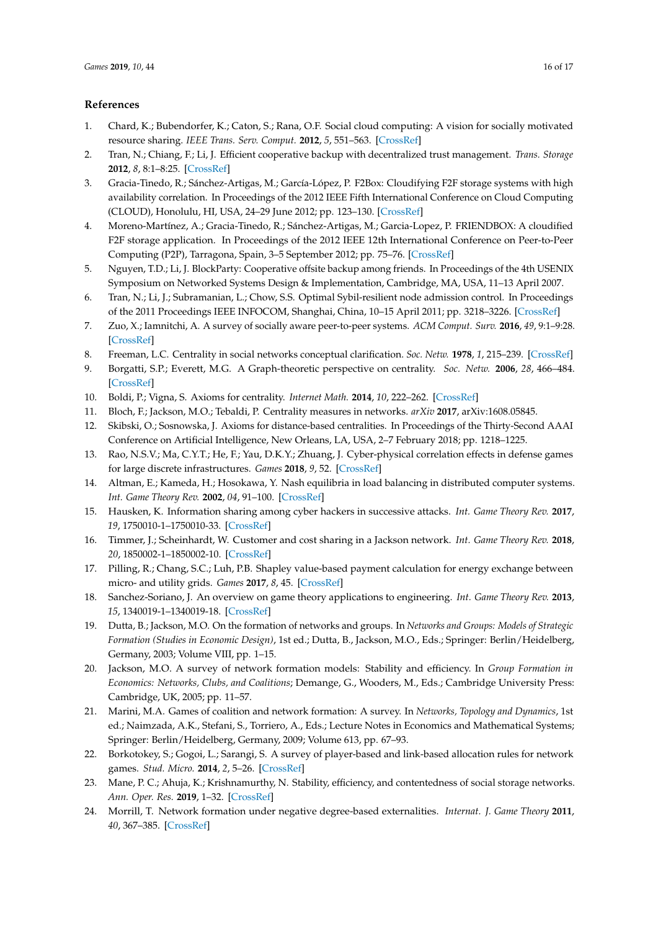# **References**

- 1. Chard, K.; Bubendorfer, K.; Caton, S.; Rana, O.F. Social cloud computing: A vision for socially motivated resource sharing. *IEEE Trans. Serv. Comput.* **2012**, *5*, 551–563. [CrossRef]
- 2. Tran, N.; Chiang, F.; Li, J. Efficient cooperative backup with decentralized trust management. *Trans. Storage* **2012**, *8*, 8:1–8:25. [CrossRef]
- 3. Gracia-Tinedo, R.; Sánchez-Artigas, M.; García-López, P. F2Box: Cloudifying F2F storage systems with high availability correlation. In Proceedings of the 2012 IEEE Fifth International Conference on Cloud Computing (CLOUD), Honolulu, HI, USA, 24–29 June 2012; pp. 123–130. [CrossRef]
- 4. Moreno-Martínez, A.; Gracia-Tinedo, R.; Sánchez-Artigas, M.; Garcia-Lopez, P. FRIENDBOX: A cloudified F2F storage application. In Proceedings of the 2012 IEEE 12th International Conference on Peer-to-Peer Computing (P2P), Tarragona, Spain, 3–5 September 2012; pp. 75–76. [CrossRef]
- 5. Nguyen, T.D.; Li, J. BlockParty: Cooperative offsite backup among friends. In Proceedings of the 4th USENIX Symposium on Networked Systems Design & Implementation, Cambridge, MA, USA, 11–13 April 2007.
- 6. Tran, N.; Li, J.; Subramanian, L.; Chow, S.S. Optimal Sybil-resilient node admission control. In Proceedings of the 2011 Proceedings IEEE INFOCOM, Shanghai, China, 10–15 April 2011; pp. 3218–3226. [CrossRef]
- 7. Zuo, X.; Iamnitchi, A. A survey of socially aware peer-to-peer systems. *ACM Comput. Surv.* **2016**, *49*, 9:1–9:28. [CrossRef]
- 8. Freeman, L.C. Centrality in social networks conceptual clarification. *Soc. Netw.* **1978**, *1*, 215–239. [CrossRef]
- 9. Borgatti, S.P.; Everett, M.G. A Graph-theoretic perspective on centrality. *Soc. Netw.* **2006**, *28*, 466–484. [CrossRef]
- 10. Boldi, P.; Vigna, S. Axioms for centrality. *Internet Math.* **2014**, *10*, 222–262. [CrossRef]
- 11. Bloch, F.; Jackson, M.O.; Tebaldi, P. Centrality measures in networks. *arXiv* **2017**, arXiv:1608.05845.
- 12. Skibski, O.; Sosnowska, J. Axioms for distance-based centralities. In Proceedings of the Thirty-Second AAAI Conference on Artificial Intelligence, New Orleans, LA, USA, 2–7 February 2018; pp. 1218–1225.
- 13. Rao, N.S.V.; Ma, C.Y.T.; He, F.; Yau, D.K.Y.; Zhuang, J. Cyber-physical correlation effects in defense games for large discrete infrastructures. *Games* **2018**, *9*, 52. [CrossRef]
- 14. Altman, E.; Kameda, H.; Hosokawa, Y. Nash equilibria in load balancing in distributed computer systems. *Int. Game Theory Rev.* **2002**, *04*, 91–100. [CrossRef]
- 15. Hausken, K. Information sharing among cyber hackers in successive attacks. *Int. Game Theory Rev.* **2017**, *19*, 1750010-1–1750010-33. [CrossRef]
- 16. Timmer, J.; Scheinhardt, W. Customer and cost sharing in a Jackson network. *Int. Game Theory Rev.* **2018**, *20*, 1850002-1–1850002-10. [CrossRef]
- 17. Pilling, R.; Chang, S.C.; Luh, P.B. Shapley value-based payment calculation for energy exchange between micro- and utility grids. *Games* **2017**, *8*, 45. [CrossRef]
- 18. Sanchez-Soriano, J. An overview on game theory applications to engineering. *Int. Game Theory Rev.* **2013**, *15*, 1340019-1–1340019-18. [CrossRef]
- 19. Dutta, B.; Jackson, M.O. On the formation of networks and groups. In *Networks and Groups: Models of Strategic Formation (Studies in Economic Design)*, 1st ed.; Dutta, B., Jackson, M.O., Eds.; Springer: Berlin/Heidelberg, Germany, 2003; Volume VIII, pp. 1–15.
- 20. Jackson, M.O. A survey of network formation models: Stability and efficiency. In *Group Formation in Economics: Networks, Clubs, and Coalitions*; Demange, G., Wooders, M., Eds.; Cambridge University Press: Cambridge, UK, 2005; pp. 11–57.
- 21. Marini, M.A. Games of coalition and network formation: A survey. In *Networks, Topology and Dynamics*, 1st ed.; Naimzada, A.K., Stefani, S., Torriero, A., Eds.; Lecture Notes in Economics and Mathematical Systems; Springer: Berlin/Heidelberg, Germany, 2009; Volume 613, pp. 67–93.
- 22. Borkotokey, S.; Gogoi, L.; Sarangi, S. A survey of player-based and link-based allocation rules for network games. *Stud. Micro.* **2014**, *2*, 5–26. [CrossRef]
- 23. Mane, P. C.; Ahuja, K.; Krishnamurthy, N. Stability, efficiency, and contentedness of social storage networks. *Ann. Oper. Res.* **2019**, 1–32. [CrossRef]
- 24. Morrill, T. Network formation under negative degree-based externalities. *Internat. J. Game Theory* **2011**, *40*, 367–385. [CrossRef]